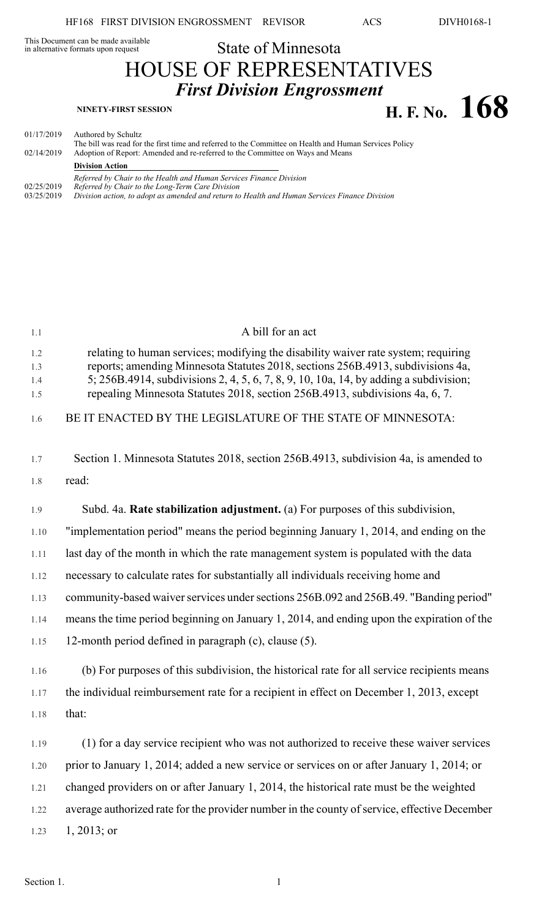# This Document can be made available<br>in alternative formats upon request

# State of Minnesota HOUSE OF REPRESENTATIVES *First Division Engrossment* **NINETY-FIRST SESSION H. F. No. 168**

| 01/17/2019<br>02/14/2019 | Authored by Schultz<br>The bill was read for the first time and referred to the Committee on Health and Human Services Policy |
|--------------------------|-------------------------------------------------------------------------------------------------------------------------------|
|                          | Adoption of Report: Amended and re-referred to the Committee on Ways and Means<br><b>Division Action</b>                      |
| 02/25/2019               | Referred by Chair to the Health and Human Services Finance Division<br>Referred by Chair to the Long-Term Care Division       |
| 03/25/2019               | Division action, to adopt as amended and return to Health and Human Services Finance Division                                 |

| 1.1                      | A bill for an act                                                                                                                                                                                                                                                                                                                              |
|--------------------------|------------------------------------------------------------------------------------------------------------------------------------------------------------------------------------------------------------------------------------------------------------------------------------------------------------------------------------------------|
| 1.2<br>1.3<br>1.4<br>1.5 | relating to human services; modifying the disability waiver rate system; requiring<br>reports; amending Minnesota Statutes 2018, sections 256B.4913, subdivisions 4a,<br>5; 256B.4914, subdivisions 2, 4, 5, 6, 7, 8, 9, 10, 10a, 14, by adding a subdivision;<br>repealing Minnesota Statutes 2018, section 256B.4913, subdivisions 4a, 6, 7. |
| 1.6                      | BE IT ENACTED BY THE LEGISLATURE OF THE STATE OF MINNESOTA:                                                                                                                                                                                                                                                                                    |
| 1.7                      | Section 1. Minnesota Statutes 2018, section 256B.4913, subdivision 4a, is amended to                                                                                                                                                                                                                                                           |
| 1.8                      | read:                                                                                                                                                                                                                                                                                                                                          |
| 1.9                      | Subd. 4a. Rate stabilization adjustment. (a) For purposes of this subdivision,                                                                                                                                                                                                                                                                 |
| 1.10                     | "implementation period" means the period beginning January 1, 2014, and ending on the                                                                                                                                                                                                                                                          |
| 1.11                     | last day of the month in which the rate management system is populated with the data                                                                                                                                                                                                                                                           |
| 1.12                     | necessary to calculate rates for substantially all individuals receiving home and                                                                                                                                                                                                                                                              |
| 1.13                     | community-based waiver services under sections 256B.092 and 256B.49. "Banding period"                                                                                                                                                                                                                                                          |
| 1.14                     | means the time period beginning on January 1, 2014, and ending upon the expiration of the                                                                                                                                                                                                                                                      |
| 1.15                     | 12-month period defined in paragraph $(c)$ , clause $(5)$ .                                                                                                                                                                                                                                                                                    |
| 1.16                     | (b) For purposes of this subdivision, the historical rate for all service recipients means                                                                                                                                                                                                                                                     |
| 1.17                     | the individual reimbursement rate for a recipient in effect on December 1, 2013, except                                                                                                                                                                                                                                                        |
| 1.18                     | that:                                                                                                                                                                                                                                                                                                                                          |
| 1.19                     | (1) for a day service recipient who was not authorized to receive these waiver services                                                                                                                                                                                                                                                        |
| 1.20                     | prior to January 1, 2014; added a new service or services on or after January 1, 2014; or                                                                                                                                                                                                                                                      |
| 1.21                     | changed providers on or after January 1, 2014, the historical rate must be the weighted                                                                                                                                                                                                                                                        |
| 1.22                     | average authorized rate for the provider number in the county of service, effective December                                                                                                                                                                                                                                                   |
| 1.23                     | $1, 2013$ ; or                                                                                                                                                                                                                                                                                                                                 |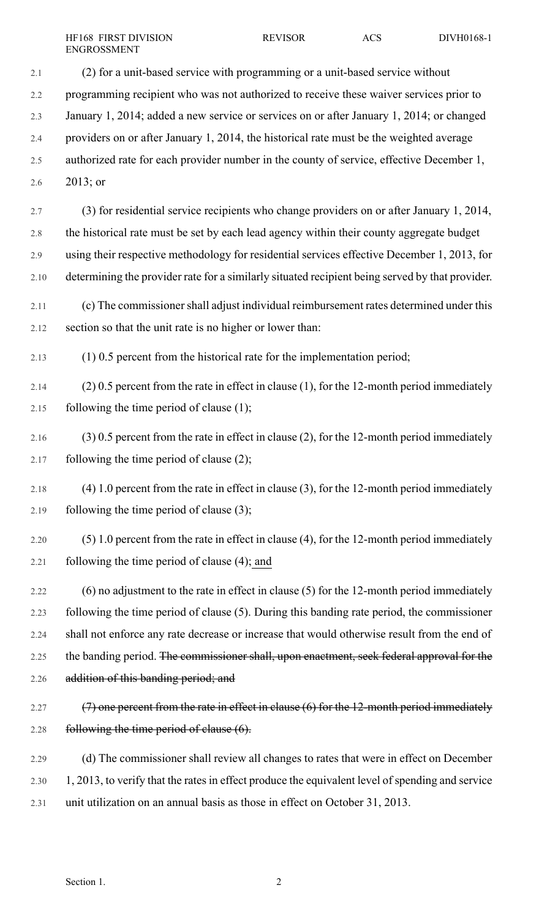- 2.1 (2) for a unit-based service with programming or a unit-based service without 2.2 programming recipient who was not authorized to receive these waiver services prior to 2.3 January 1, 2014; added a new service or services on or after January 1, 2014; or changed 2.4 providers on or after January 1, 2014, the historical rate must be the weighted average 2.5 authorized rate for each provider number in the county of service, effective December 1, 2.6 2013; or 2.7 (3) for residential service recipients who change providers on or after January 1, 2014, 2.8 the historical rate must be set by each lead agency within their county aggregate budget 2.9 using their respective methodology for residential services effective December 1, 2013, for 2.10 determining the provider rate for a similarly situated recipient being served by that provider. 2.11 (c) The commissionershall adjust individual reimbursement rates determined under this 2.12 section so that the unit rate is no higher or lower than: 2.13 (1) 0.5 percent from the historical rate for the implementation period; 2.14 (2) 0.5 percent from the rate in effect in clause (1), for the 12-month period immediately 2.15 following the time period of clause  $(1)$ ;
- 2.16 (3) 0.5 percent from the rate in effect in clause (2), for the 12-month period immediately 2.17 following the time period of clause  $(2)$ ;
- 2.18 (4) 1.0 percent from the rate in effect in clause (3), for the 12-month period immediately 2.19 following the time period of clause  $(3)$ ;
- 2.20 (5) 1.0 percent from the rate in effect in clause (4), for the 12-month period immediately 2.21 following the time period of clause (4); and
- 2.22 (6) no adjustment to the rate in effect in clause (5) for the 12-month period immediately 2.23 following the time period of clause (5). During this banding rate period, the commissioner 2.24 shall not enforce any rate decrease or increase that would otherwise result from the end of 2.25 the banding period. The commissioner shall, upon enactment, seek federal approval for the 2.26 addition of this banding period; and
- 2.27  $(7)$  one percent from the rate in effect in clause (6) for the 12-month period immediately 2.28 following the time period of clause (6).
- 2.29 (d) The commissioner shall review all changes to rates that were in effect on December 2.30 1, 2013, to verify that the rates in effect produce the equivalent level of spending and service 2.31 unit utilization on an annual basis as those in effect on October 31, 2013.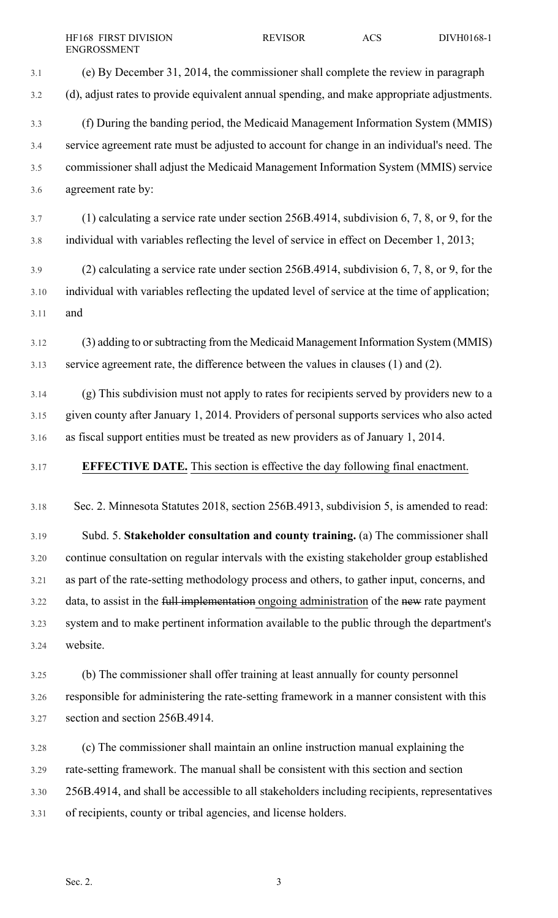3.1 (e) By December 31, 2014, the commissioner shall complete the review in paragraph 3.2 (d), adjust rates to provide equivalent annual spending, and make appropriate adjustments. 3.3 (f) During the banding period, the Medicaid Management Information System (MMIS) 3.4 service agreement rate must be adjusted to account for change in an individual's need. The 3.5 commissioner shall adjust the Medicaid Management Information System (MMIS) service 3.6 agreement rate by: 3.7 (1) calculating a service rate under section 256B.4914, subdivision 6, 7, 8, or 9, for the 3.8 individual with variables reflecting the level of service in effect on December 1, 2013; 3.9 (2) calculating a service rate under section 256B.4914, subdivision 6, 7, 8, or 9, for the 3.10 individual with variables reflecting the updated level of service at the time of application; 3.11 and 3.12 (3) adding to orsubtracting from the Medicaid Management Information System (MMIS) 3.13 service agreement rate, the difference between the values in clauses (1) and (2). 3.14 (g) This subdivision must not apply to rates for recipients served by providers new to a 3.15 given county after January 1, 2014. Providers of personal supports services who also acted 3.16 as fiscal support entities must be treated as new providers as of January 1, 2014. 3.17 **EFFECTIVE DATE.** This section is effective the day following final enactment. 3.18 Sec. 2. Minnesota Statutes 2018, section 256B.4913, subdivision 5, is amended to read: 3.19 Subd. 5. **Stakeholder consultation and county training.** (a) The commissioner shall 3.20 continue consultation on regular intervals with the existing stakeholder group established 3.21 as part of the rate-setting methodology process and others, to gather input, concerns, and 3.22 data, to assist in the full implementation ongoing administration of the new rate payment 3.23 system and to make pertinent information available to the public through the department's 3.24 website. 3.25 (b) The commissioner shall offer training at least annually for county personnel 3.26 responsible for administering the rate-setting framework in a manner consistent with this 3.27 section and section 256B.4914. 3.28 (c) The commissioner shall maintain an online instruction manual explaining the

3.30 256B.4914, and shall be accessible to all stakeholders including recipients, representatives

3.29 rate-setting framework. The manual shall be consistent with this section and section

3.31 of recipients, county or tribal agencies, and license holders.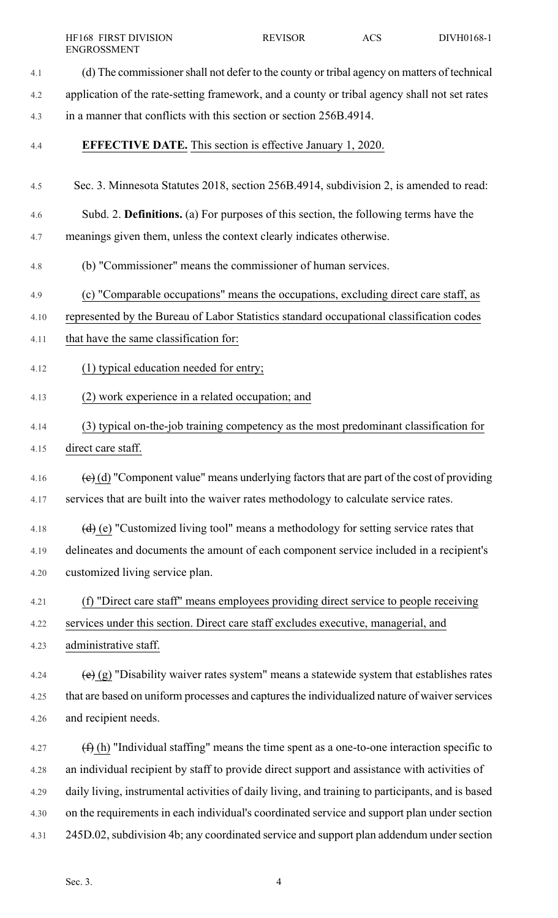4.1 (d) The commissionershall not defer to the county or tribal agency on matters of technical 4.2 application of the rate-setting framework, and a county or tribal agency shall not set rates 4.3 in a manner that conflicts with this section or section 256B.4914. 4.4 **EFFECTIVE DATE.** This section is effective January 1, 2020. 4.5 Sec. 3. Minnesota Statutes 2018, section 256B.4914, subdivision 2, is amended to read: 4.6 Subd. 2. **Definitions.** (a) For purposes of this section, the following terms have the 4.7 meanings given them, unless the context clearly indicates otherwise. 4.8 (b) "Commissioner" means the commissioner of human services. 4.9 (c) "Comparable occupations" means the occupations, excluding direct care staff, as 4.10 represented by the Bureau of Labor Statistics standard occupational classification codes 4.11 that have the same classification for: 4.12 (1) typical education needed for entry; 4.13 (2) work experience in a related occupation; and 4.14 (3) typical on-the-job training competency as the most predominant classification for 4.15 direct care staff. 4.16  $\left(\frac{e}{c}\right)$  (d) "Component value" means underlying factors that are part of the cost of providing 4.17 services that are built into the waiver rates methodology to calculate service rates. 4.18 (d) (e) "Customized living tool" means a methodology for setting service rates that 4.19 delineates and documents the amount of each component service included in a recipient's 4.20 customized living service plan. 4.21 (f) "Direct care staff" means employees providing direct service to people receiving 4.22 services under this section. Direct care staff excludes executive, managerial, and 4.23 administrative staff. 4.24  $\left(e\right)$  (g) "Disability waiver rates system" means a statewide system that establishes rates 4.25 that are based on uniform processes and captures the individualized nature of waiver services 4.26 and recipient needs. 4.27  $(f)$  (h) "Individual staffing" means the time spent as a one-to-one interaction specific to 4.28 an individual recipient by staff to provide direct support and assistance with activities of 4.29 daily living, instrumental activities of daily living, and training to participants, and is based 4.30 on the requirements in each individual's coordinated service and support plan under section 4.31 245D.02,subdivision 4b; any coordinated service and support plan addendum undersection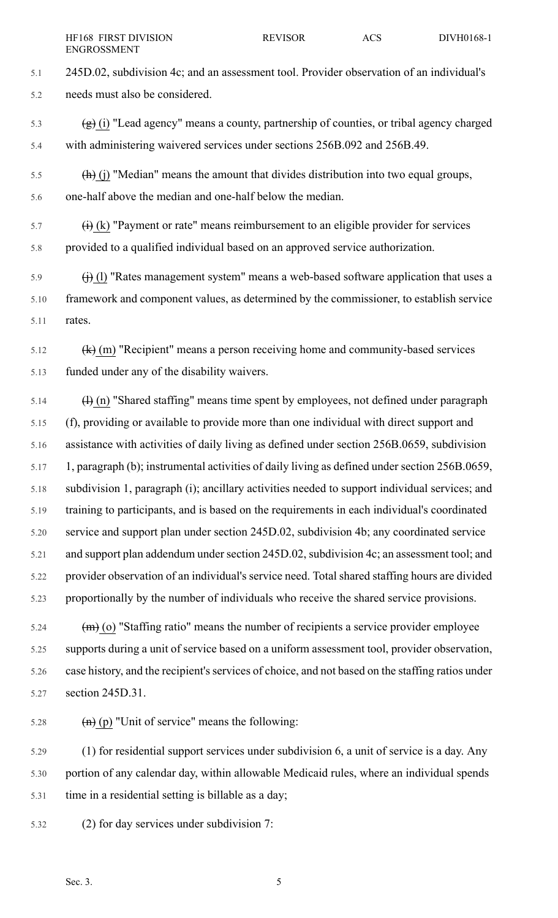- 5.1 245D.02, subdivision 4c; and an assessment tool. Provider observation of an individual's 5.2 needs must also be considered.
- $\left(\frac{1}{2}\right)$  (i) "Lead agency" means a county, partnership of counties, or tribal agency charged 5.4 with administering waivered services under sections 256B.092 and 256B.49.
- $\frac{1}{5.5}$  (h) (j) "Median" means the amount that divides distribution into two equal groups, 5.6 one-half above the median and one-half below the median.
- $\overrightarrow{f}$  (i) (k) "Payment or rate" means reimbursement to an eligible provider for services 5.8 provided to a qualified individual based on an approved service authorization.
- 5.9  $\qquad (i)$  (l) "Rates management system" means a web-based software application that uses a 5.10 framework and component values, as determined by the commissioner, to establish service 5.11 rates.
- $5.12$  (k) (m) "Recipient" means a person receiving home and community-based services 5.13 funded under any of the disability waivers.
- $\frac{1}{2}$  (h) "Shared staffing" means time spent by employees, not defined under paragraph 5.15 (f), providing or available to provide more than one individual with direct support and 5.16 assistance with activities of daily living as defined under section 256B.0659, subdivision 5.17 1, paragraph (b); instrumental activities of daily living as defined under section 256B.0659, 5.18 subdivision 1, paragraph (i); ancillary activities needed to support individual services; and 5.19 training to participants, and is based on the requirements in each individual's coordinated 5.20 service and support plan under section 245D.02, subdivision 4b; any coordinated service 5.21 and support plan addendum under section 245D.02, subdivision 4c; an assessment tool; and 5.22 provider observation of an individual's service need. Total shared staffing hours are divided 5.23 proportionally by the number of individuals who receive the shared service provisions.
- 5.24  $\text{(m)}$  (o) "Staffing ratio" means the number of recipients a service provider employee 5.25 supports during a unit of service based on a uniform assessment tool, provider observation, 5.26 case history, and the recipient's services of choice, and not based on the staffing ratios under 5.27 section 245D.31.
- 5.28  $\qquad \qquad \text{(h)} \text{(p)}$  "Unit of service" means the following:

5.29 (1) for residential support services under subdivision 6, a unit of service is a day. Any 5.30 portion of any calendar day, within allowable Medicaid rules, where an individual spends 5.31 time in a residential setting is billable as a day;

5.32 (2) for day services under subdivision 7: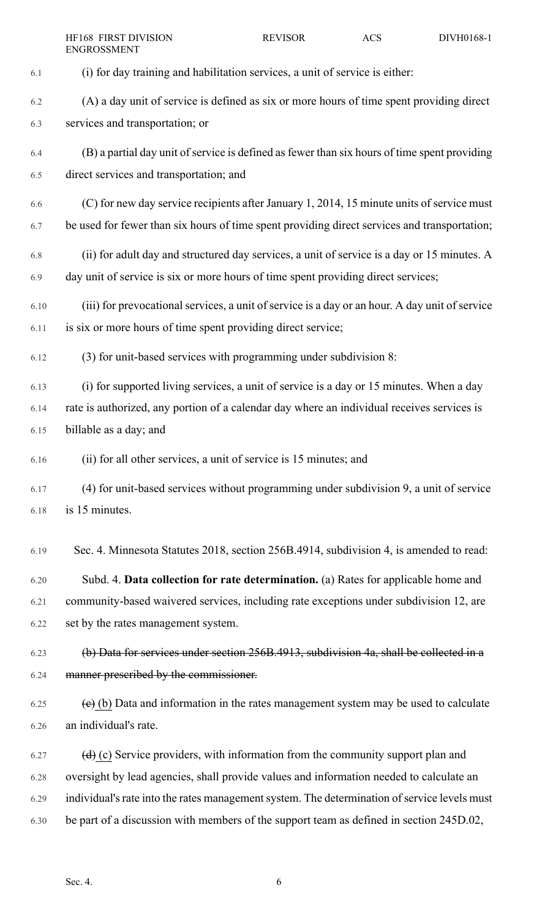|      | HF168 FIRST DIVISION<br><b>ENGROSSMENT</b>                                                             | <b>REVISOR</b> | <b>ACS</b> | DIVH0168-1 |
|------|--------------------------------------------------------------------------------------------------------|----------------|------------|------------|
| 6.1  | (i) for day training and habilitation services, a unit of service is either:                           |                |            |            |
| 6.2  | (A) a day unit of service is defined as six or more hours of time spent providing direct               |                |            |            |
| 6.3  | services and transportation; or                                                                        |                |            |            |
| 6.4  | (B) a partial day unit of service is defined as fewer than six hours of time spent providing           |                |            |            |
| 6.5  | direct services and transportation; and                                                                |                |            |            |
| 6.6  | (C) for new day service recipients after January 1, 2014, 15 minute units of service must              |                |            |            |
| 6.7  | be used for fewer than six hours of time spent providing direct services and transportation;           |                |            |            |
| 6.8  | (ii) for adult day and structured day services, a unit of service is a day or 15 minutes. A            |                |            |            |
| 6.9  | day unit of service is six or more hours of time spent providing direct services;                      |                |            |            |
| 6.10 | (iii) for prevocational services, a unit of service is a day or an hour. A day unit of service         |                |            |            |
| 6.11 | is six or more hours of time spent providing direct service;                                           |                |            |            |
| 6.12 | (3) for unit-based services with programming under subdivision 8:                                      |                |            |            |
| 6.13 | (i) for supported living services, a unit of service is a day or 15 minutes. When a day                |                |            |            |
| 6.14 | rate is authorized, any portion of a calendar day where an individual receives services is             |                |            |            |
| 6.15 | billable as a day; and                                                                                 |                |            |            |
| 6.16 | (ii) for all other services, a unit of service is 15 minutes; and                                      |                |            |            |
| 6.17 | (4) for unit-based services without programming under subdivision 9, a unit of service                 |                |            |            |
| 6.18 | is 15 minutes.                                                                                         |                |            |            |
| 6.19 | Sec. 4. Minnesota Statutes 2018, section 256B.4914, subdivision 4, is amended to read:                 |                |            |            |
| 6.20 | Subd. 4. Data collection for rate determination. (a) Rates for applicable home and                     |                |            |            |
| 6.21 | community-based waivered services, including rate exceptions under subdivision 12, are                 |                |            |            |
| 6.22 | set by the rates management system.                                                                    |                |            |            |
| 6.23 | (b) Data for services under section 256B.4913, subdivision 4a, shall be collected in a                 |                |            |            |
| 6.24 | manner prescribed by the commissioner.                                                                 |                |            |            |
| 6.25 | $\overline{e}$ (b) Data and information in the rates management system may be used to calculate        |                |            |            |
| 6.26 | an individual's rate.                                                                                  |                |            |            |
| 6.27 | $\left(\frac{d}{d}\right)$ (c) Service providers, with information from the community support plan and |                |            |            |
| 6.28 | oversight by lead agencies, shall provide values and information needed to calculate an                |                |            |            |
| 6.29 | individual's rate into the rates management system. The determination of service levels must           |                |            |            |
| 6.30 | be part of a discussion with members of the support team as defined in section 245D.02,                |                |            |            |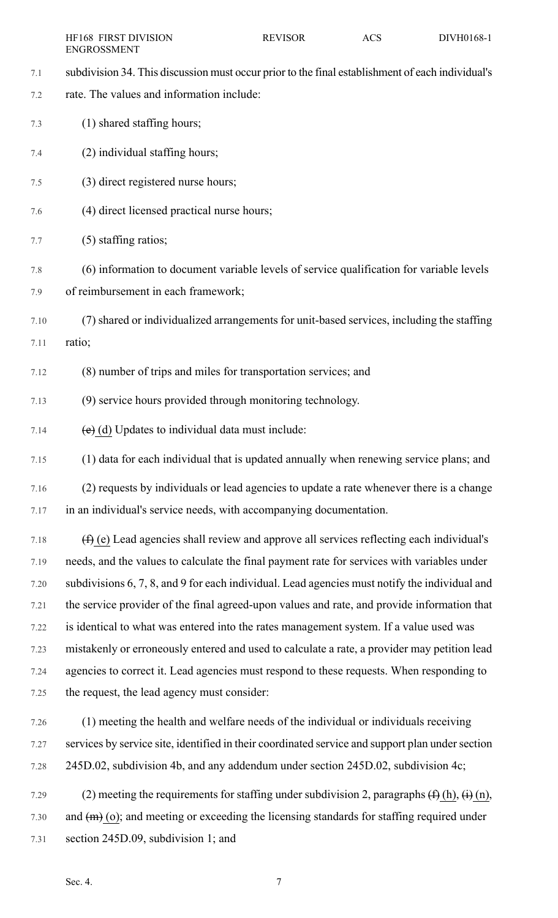| <b>HF168 FIRST DIVISION</b> | <b>REVISOR</b> | ACS | DIVH0168-1 |
|-----------------------------|----------------|-----|------------|
| ENGROSSMENT                 |                |     |            |

- 7.1 subdivision 34. This discussion must occur prior to the final establishment of each individual's
- 7.2 rate. The values and information include:
- 7.3 (1) shared staffing hours;
- 7.4 (2) individual staffing hours;
- 7.5 (3) direct registered nurse hours;
- 7.6 (4) direct licensed practical nurse hours;
- 7.7 (5) staffing ratios;
- 7.8 (6) information to document variable levels of service qualification for variable levels 7.9 of reimbursement in each framework;
- 7.10 (7) shared or individualized arrangements for unit-based services, including the staffing 7.11 ratio;
- 7.12 (8) number of trips and miles for transportation services; and
- 7.13 (9) service hours provided through monitoring technology.
- 7.14  $(e)$  (d) Updates to individual data must include:
- 7.15 (1) data for each individual that is updated annually when renewing service plans; and
- 7.16 (2) requests by individuals or lead agencies to update a rate whenever there is a change 7.17 in an individual's service needs, with accompanying documentation.
- 7.18  $(f)$  (e) Lead agencies shall review and approve all services reflecting each individual's 7.19 needs, and the values to calculate the final payment rate for services with variables under 7.20 subdivisions 6, 7, 8, and 9 for each individual. Lead agencies must notify the individual and 7.21 the service provider of the final agreed-upon values and rate, and provide information that 7.22 is identical to what was entered into the rates management system. If a value used was 7.23 mistakenly or erroneously entered and used to calculate a rate, a provider may petition lead 7.24 agencies to correct it. Lead agencies must respond to these requests. When responding to 7.25 the request, the lead agency must consider:
- 7.26 (1) meeting the health and welfare needs of the individual or individuals receiving 7.27 services by service site, identified in their coordinated service and support plan undersection 7.28 245D.02, subdivision 4b, and any addendum under section 245D.02, subdivision 4c;
- 7.29 (2) meeting the requirements for staffing under subdivision 2, paragraphs  $(f)$  (h),  $(i)$  (n), 7.30 and  $(m)$  (o); and meeting or exceeding the licensing standards for staffing required under 7.31 section 245D.09, subdivision 1; and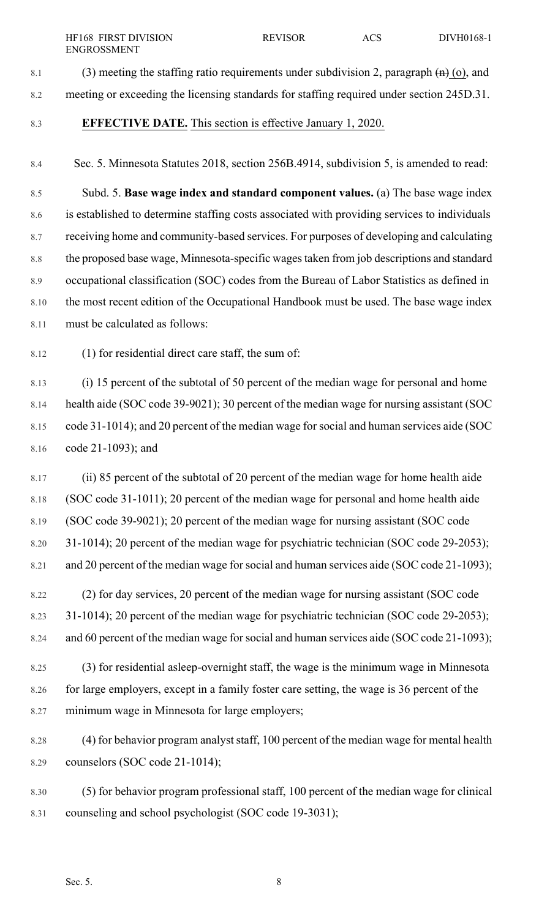8.1 (3) meeting the staffing ratio requirements under subdivision 2, paragraph  $\left(\mathbf{h}\right)$  (o), and 8.2 meeting or exceeding the licensing standards for staffing required under section 245D.31.

#### 8.3 **EFFECTIVE DATE.** This section is effective January 1, 2020.

8.4 Sec. 5. Minnesota Statutes 2018, section 256B.4914, subdivision 5, is amended to read:

8.5 Subd. 5. **Base wage index and standard component values.** (a) The base wage index 8.6 is established to determine staffing costs associated with providing services to individuals 8.7 receiving home and community-based services. For purposes of developing and calculating 8.8 the proposed base wage, Minnesota-specific wages taken from job descriptions and standard 8.9 occupational classification (SOC) codes from the Bureau of Labor Statistics as defined in 8.10 the most recent edition of the Occupational Handbook must be used. The base wage index 8.11 must be calculated as follows:

8.12 (1) for residential direct care staff, the sum of:

8.13 (i) 15 percent of the subtotal of 50 percent of the median wage for personal and home 8.14 health aide (SOC code 39-9021); 30 percent of the median wage for nursing assistant (SOC 8.15 code 31-1014); and 20 percent of the median wage forsocial and human services aide (SOC 8.16 code 21-1093); and

8.17 (ii) 85 percent of the subtotal of 20 percent of the median wage for home health aide 8.18 (SOC code 31-1011); 20 percent of the median wage for personal and home health aide 8.19 (SOC code 39-9021); 20 percent of the median wage for nursing assistant (SOC code 8.20 31-1014); 20 percent of the median wage for psychiatric technician (SOC code 29-2053); 8.21 and 20 percent of the median wage forsocial and human services aide (SOC code 21-1093);

- 8.22 (2) for day services, 20 percent of the median wage for nursing assistant (SOC code 8.23 31-1014); 20 percent of the median wage for psychiatric technician (SOC code 29-2053); 8.24 and 60 percent of the median wage forsocial and human services aide (SOC code 21-1093);
- 8.25 (3) for residential asleep-overnight staff, the wage is the minimum wage in Minnesota 8.26 for large employers, except in a family foster care setting, the wage is 36 percent of the 8.27 minimum wage in Minnesota for large employers;
- 8.28 (4) for behavior program analyststaff, 100 percent of the median wage for mental health 8.29 counselors (SOC code 21-1014);

8.30 (5) for behavior program professional staff, 100 percent of the median wage for clinical 8.31 counseling and school psychologist (SOC code 19-3031);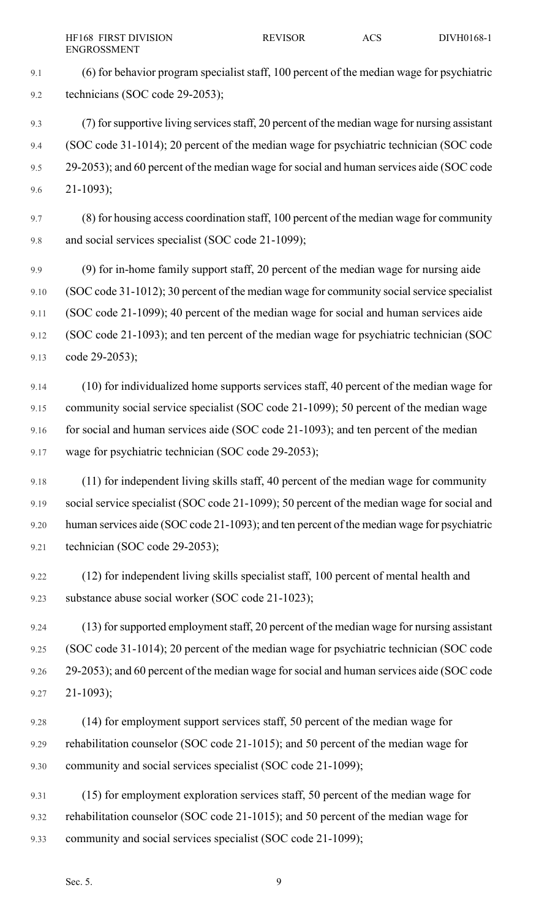9.1 (6) for behavior program specialist staff, 100 percent of the median wage for psychiatric 9.2 technicians (SOC code 29-2053);

- 9.3 (7) forsupportive living servicesstaff, 20 percent of the median wage for nursing assistant 9.4 (SOC code 31-1014); 20 percent of the median wage for psychiatric technician (SOC code 9.5 29-2053); and 60 percent of the median wage forsocial and human services aide (SOC code 9.6 21-1093);
- 9.7 (8) for housing access coordination staff, 100 percent of the median wage for community 9.8 and social services specialist (SOC code 21-1099);
- 9.9 (9) for in-home family support staff, 20 percent of the median wage for nursing aide 9.10 (SOC code 31-1012); 30 percent of the median wage for community social service specialist 9.11 (SOC code 21-1099); 40 percent of the median wage for social and human services aide 9.12 (SOC code 21-1093); and ten percent of the median wage for psychiatric technician (SOC 9.13 code 29-2053);
- 9.14 (10) for individualized home supports services staff, 40 percent of the median wage for 9.15 community social service specialist (SOC code 21-1099); 50 percent of the median wage 9.16 for social and human services aide (SOC code 21-1093); and ten percent of the median 9.17 wage for psychiatric technician (SOC code 29-2053);
- 9.18 (11) for independent living skills staff, 40 percent of the median wage for community 9.19 social service specialist (SOC code 21-1099); 50 percent of the median wage for social and 9.20 human services aide (SOC code 21-1093); and ten percent of the median wage for psychiatric 9.21 technician (SOC code 29-2053);
- 9.22 (12) for independent living skills specialist staff, 100 percent of mental health and 9.23 substance abuse social worker (SOC code 21-1023);
- 9.24 (13) for supported employment staff, 20 percent of the median wage for nursing assistant 9.25 (SOC code 31-1014); 20 percent of the median wage for psychiatric technician (SOC code 9.26 29-2053); and 60 percent of the median wage forsocial and human services aide (SOC code 9.27 21-1093);
- 9.28 (14) for employment support services staff, 50 percent of the median wage for 9.29 rehabilitation counselor (SOC code 21-1015); and 50 percent of the median wage for 9.30 community and social services specialist (SOC code 21-1099);
- 9.31 (15) for employment exploration services staff, 50 percent of the median wage for 9.32 rehabilitation counselor (SOC code 21-1015); and 50 percent of the median wage for 9.33 community and social services specialist (SOC code 21-1099);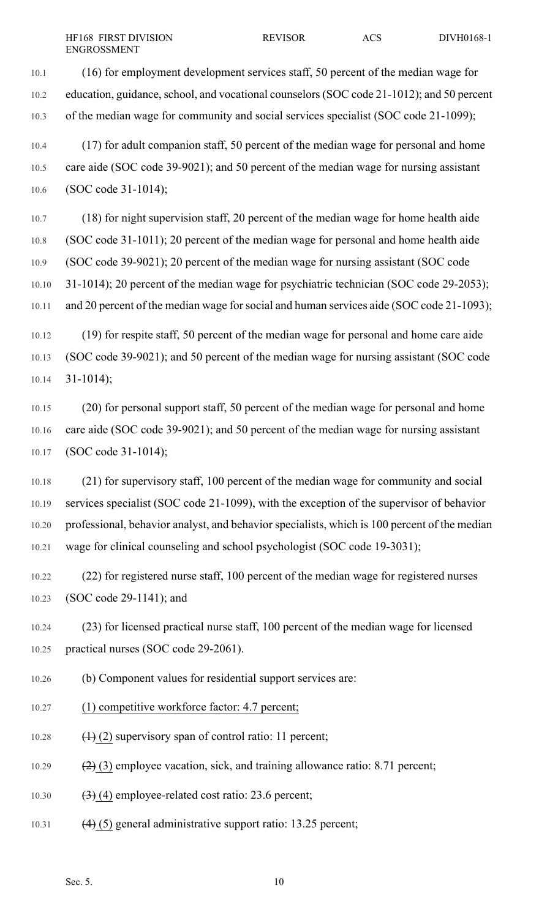10.1 (16) for employment development services staff, 50 percent of the median wage for 10.2 education, guidance,school, and vocational counselors(SOC code 21-1012); and 50 percent 10.3 of the median wage for community and social services specialist (SOC code 21-1099);

10.4 (17) for adult companion staff, 50 percent of the median wage for personal and home 10.5 care aide (SOC code 39-9021); and 50 percent of the median wage for nursing assistant 10.6 (SOC code 31-1014);

10.7 (18) for night supervision staff, 20 percent of the median wage for home health aide 10.8 (SOC code 31-1011); 20 percent of the median wage for personal and home health aide 10.9 (SOC code 39-9021); 20 percent of the median wage for nursing assistant (SOC code 10.10 31-1014); 20 percent of the median wage for psychiatric technician (SOC code 29-2053); 10.11 and 20 percent of the median wage for social and human services aide (SOC code 21-1093);

10.12 (19) for respite staff, 50 percent of the median wage for personal and home care aide 10.13 (SOC code 39-9021); and 50 percent of the median wage for nursing assistant (SOC code  $10.14$  31-1014);

10.15 (20) for personal support staff, 50 percent of the median wage for personal and home 10.16 care aide (SOC code 39-9021); and 50 percent of the median wage for nursing assistant 10.17 (SOC code 31-1014);

10.18 (21) for supervisory staff, 100 percent of the median wage for community and social 10.19 services specialist (SOC code 21-1099), with the exception of the supervisor of behavior 10.20 professional, behavior analyst, and behavior specialists, which is 100 percent of the median 10.21 wage for clinical counseling and school psychologist (SOC code 19-3031);

10.22 (22) for registered nurse staff, 100 percent of the median wage for registered nurses 10.23 (SOC code 29-1141); and

10.24 (23) for licensed practical nurse staff, 100 percent of the median wage for licensed 10.25 practical nurses (SOC code 29-2061).

10.26 (b) Component values for residential support services are:

- 10.27 (1) competitive workforce factor: 4.7 percent;
- 10.28  $(1)$  (2) supervisory span of control ratio: 11 percent;

10.29  $(2)(3)$  employee vacation, sick, and training allowance ratio: 8.71 percent;

- 10.30  $(3)$  (4) employee-related cost ratio: 23.6 percent;
- 10.31 (4) (5) general administrative support ratio: 13.25 percent;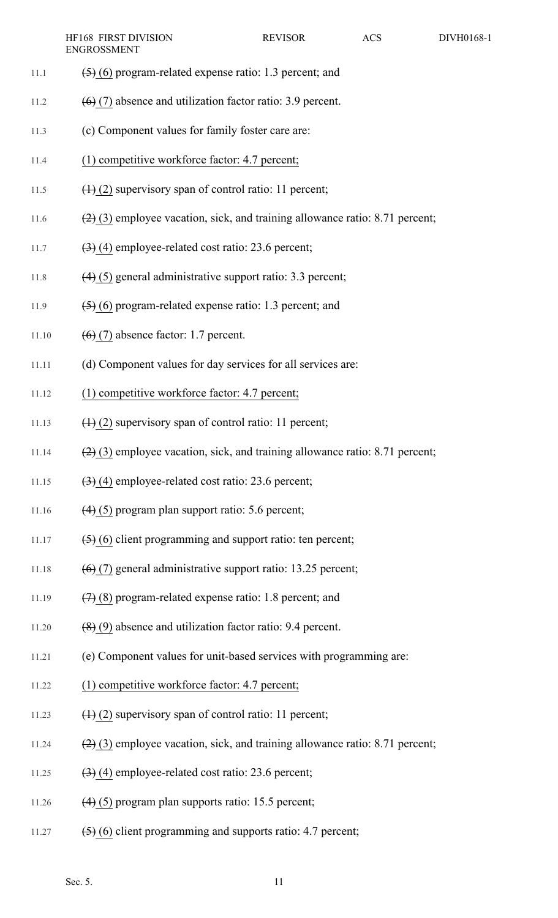- 11.1  $\left(5\right)$  (6) program-related expense ratio: 1.3 percent; and
- 11.2  $(6)$  (7) absence and utilization factor ratio: 3.9 percent.
- 11.3 (c) Component values for family foster care are:
- 11.4 (1) competitive workforce factor: 4.7 percent;
- 11.5  $(1)$  (2) supervisory span of control ratio: 11 percent;
- 11.6  $(2)(3)$  employee vacation, sick, and training allowance ratio: 8.71 percent;
- 11.7  $\left(\frac{3}{2}\right)$  (4) employee-related cost ratio: 23.6 percent;
- 11.8 (4) (5) general administrative support ratio: 3.3 percent;
- 11.9  $(5)(6)$  program-related expense ratio: 1.3 percent; and
- 11.10  $(6)(7)$  absence factor: 1.7 percent.
- 11.11 (d) Component values for day services for all services are:
- 11.12 (1) competitive workforce factor: 4.7 percent;
- 11.13  $(1)$  (2) supervisory span of control ratio: 11 percent;
- 11.14  $(2)$  (3) employee vacation, sick, and training allowance ratio: 8.71 percent;
- 11.15  $(3)$  (4) employee-related cost ratio: 23.6 percent;
- 11.16  $(4)$  (5) program plan support ratio: 5.6 percent;
- 11.17  $\left(5\right)$  (6) client programming and support ratio: ten percent;
- 11.18  $(6)(7)$  general administrative support ratio: 13.25 percent;
- 11.19  $(7)$  (8) program-related expense ratio: 1.8 percent; and
- 11.20  $(8)(9)$  absence and utilization factor ratio: 9.4 percent.
- 11.21 (e) Component values for unit-based services with programming are:
- 11.22 (1) competitive workforce factor: 4.7 percent;
- 11.23  $(1)$  (2) supervisory span of control ratio: 11 percent;
- 11.24  $(2)$  (3) employee vacation, sick, and training allowance ratio: 8.71 percent;
- 11.25  $(3)$  (4) employee-related cost ratio: 23.6 percent;
- 11.26  $(4)$  (5) program plan supports ratio: 15.5 percent;
- 11.27  $(5)$  (6) client programming and supports ratio: 4.7 percent;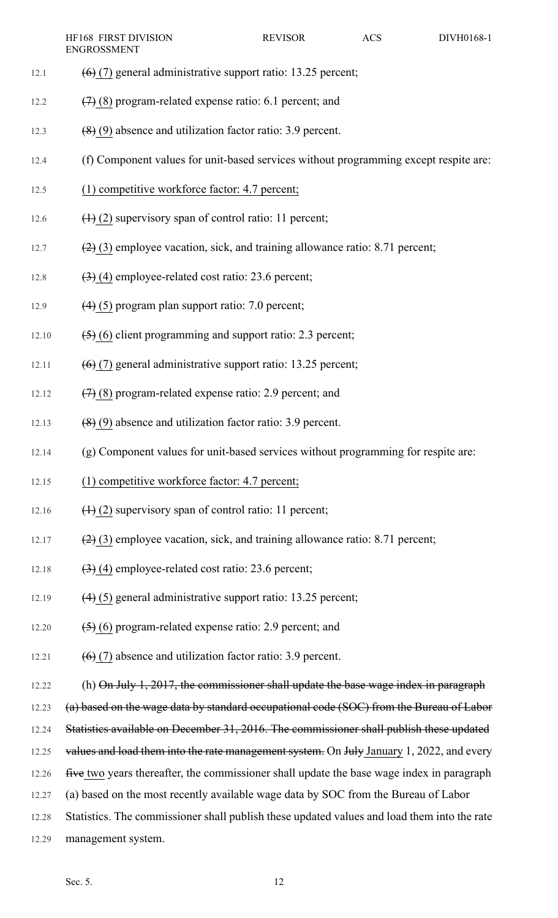- 12.1  $(6)$  (7) general administrative support ratio: 13.25 percent;
- 12.2  $(7)$  (8) program-related expense ratio: 6.1 percent; and
- 12.3 (8) (9) absence and utilization factor ratio: 3.9 percent.
- 12.4 (f) Component values for unit-based services without programming except respite are:
- 12.5 (1) competitive workforce factor: 4.7 percent;
- 12.6  $(1)$  (2) supervisory span of control ratio: 11 percent;
- 12.7  $(2)(3)$  employee vacation, sick, and training allowance ratio: 8.71 percent;
- 12.8  $(3)$  (4) employee-related cost ratio: 23.6 percent;
- 12.9  $(4)$  (5) program plan support ratio: 7.0 percent;
- 12.10  $(5)(6)$  client programming and support ratio: 2.3 percent;
- 12.11  $(6)$  (7) general administrative support ratio: 13.25 percent;
- 12.12  $(7)$  (8) program-related expense ratio: 2.9 percent; and
- 12.13  $(8)(9)$  absence and utilization factor ratio: 3.9 percent.
- 12.14 (g) Component values for unit-based services without programming for respite are:
- 12.15 (1) competitive workforce factor: 4.7 percent;
- 12.16  $\left(1\right)$  (2) supervisory span of control ratio: 11 percent;
- 12.17  $(2)$  (3) employee vacation, sick, and training allowance ratio: 8.71 percent;
- 12.18  $(3)$  (4) employee-related cost ratio: 23.6 percent;
- 12.19  $(4)$  (5) general administrative support ratio: 13.25 percent;
- 12.20  $(5)$  (6) program-related expense ratio: 2.9 percent; and
- 12.21  $(6)$  (7) absence and utilization factor ratio: 3.9 percent.
- 12.22 (h) On July 1, 2017, the commissioner shall update the base wage index in paragraph
- 12.23 (a) based on the wage data by standard occupational code (SOC) from the Bureau of Labor
- 12.24 Statistics available on December 31, 2016. The commissioner shall publish these updated
- 12.25 values and load them into the rate management system. On July January 1, 2022, and every
- 12.26 five two years thereafter, the commissioner shall update the base wage index in paragraph
- 12.27 (a) based on the most recently available wage data by SOC from the Bureau of Labor
- 12.28 Statistics. The commissioner shall publish these updated values and load them into the rate
- 12.29 management system.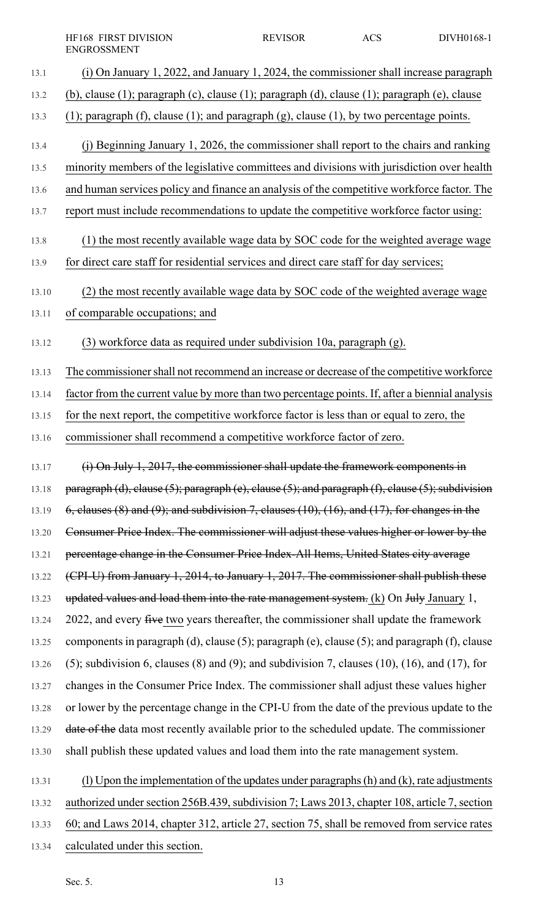- 13.1 (i) On January 1, 2022, and January 1, 2024, the commissioner shall increase paragraph 13.2 (b), clause (1); paragraph (c), clause (1); paragraph (d), clause (1); paragraph (e), clause 13.3 (1); paragraph (f), clause (1); and paragraph (g), clause (1), by two percentage points. 13.4 (j) Beginning January 1, 2026, the commissioner shall report to the chairs and ranking 13.5 minority members of the legislative committees and divisions with jurisdiction over health 13.6 and human services policy and finance an analysis of the competitive workforce factor. The 13.7 report must include recommendations to update the competitive workforce factor using: 13.8 (1) the most recently available wage data by SOC code for the weighted average wage 13.9 for direct care staff for residential services and direct care staff for day services; 13.10 (2) the most recently available wage data by SOC code of the weighted average wage 13.11 of comparable occupations; and 13.12 (3) workforce data as required under subdivision 10a, paragraph (g). 13.13 The commissioner shall not recommend an increase or decrease of the competitive workforce 13.14 factor from the current value by more than two percentage points. If, after a biennial analysis 13.15 for the next report, the competitive workforce factor is less than or equal to zero, the 13.16 commissioner shall recommend a competitive workforce factor of zero. 13.17 (i) On July 1, 2017, the commissioner shall update the framework components in 13.18 paragraph (d), clause  $(5)$ ; paragraph (e), clause  $(5)$ ; and paragraph  $(f)$ , clause  $(5)$ ; subdivision 13.19  $\qquad$  6, clauses (8) and (9); and subdivision 7, clauses (10), (16), and (17), for changes in the 13.20 Consumer Price Index. The commissioner will adjust these values higher or lower by the 13.21 percentage change in the Consumer Price Index-All Items, United States city average 13.22 (CPI-U) from January 1, 2014, to January 1, 2017. The commissioner shall publish these 13.23 updated values and load them into the rate management system. (k) On July January 1, 13.24 2022, and every five two years thereafter, the commissioner shall update the framework 13.25 components in paragraph (d), clause (5); paragraph (e), clause (5); and paragraph (f), clause 13.26 (5); subdivision 6, clauses (8) and (9); and subdivision 7, clauses (10), (16), and (17), for 13.27 changes in the Consumer Price Index. The commissioner shall adjust these values higher 13.28 or lower by the percentage change in the CPI-U from the date of the previous update to the 13.29 date of the data most recently available prior to the scheduled update. The commissioner 13.30 shall publish these updated values and load them into the rate management system. 13.31 (l) Upon the implementation of the updates under paragraphs(h) and (k), rate adjustments 13.32 authorized under section 256B.439, subdivision 7; Laws 2013, chapter 108, article 7, section
	- 13.33 60; and Laws 2014, chapter 312, article 27, section 75, shall be removed from service rates
	- 13.34 calculated under this section.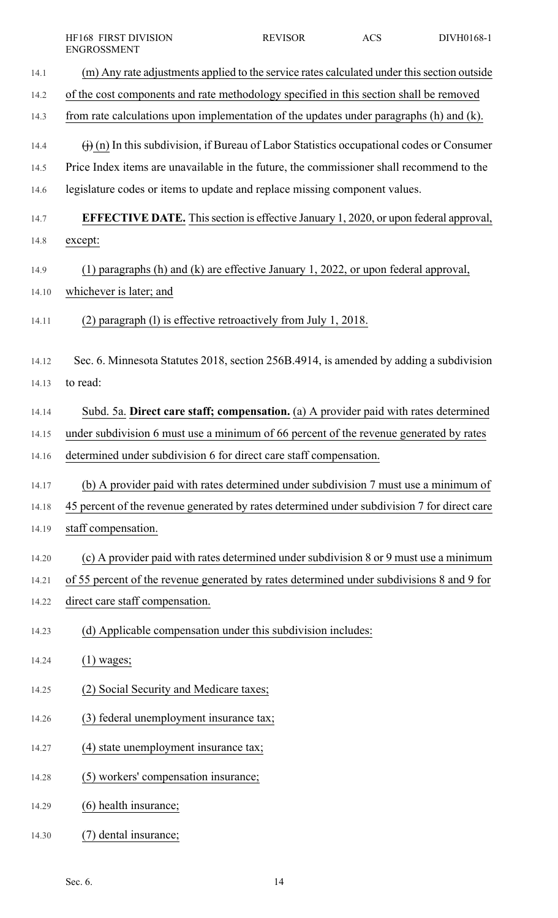|       | HF168 FIRST DIVISION<br><b>ENGROSSMENT</b>                                                                  | <b>REVISOR</b> | <b>ACS</b> | DIVH0168-1 |
|-------|-------------------------------------------------------------------------------------------------------------|----------------|------------|------------|
| 14.1  | (m) Any rate adjustments applied to the service rates calculated under this section outside                 |                |            |            |
| 14.2  | of the cost components and rate methodology specified in this section shall be removed                      |                |            |            |
| 14.3  | from rate calculations upon implementation of the updates under paragraphs (h) and (k).                     |                |            |            |
| 14.4  | $\overrightarrow{()}$ (n) In this subdivision, if Bureau of Labor Statistics occupational codes or Consumer |                |            |            |
| 14.5  | Price Index items are unavailable in the future, the commissioner shall recommend to the                    |                |            |            |
| 14.6  | legislature codes or items to update and replace missing component values.                                  |                |            |            |
| 14.7  | <b>EFFECTIVE DATE.</b> This section is effective January 1, 2020, or upon federal approval,                 |                |            |            |
| 14.8  | except:                                                                                                     |                |            |            |
| 14.9  | (1) paragraphs (h) and (k) are effective January 1, 2022, or upon federal approval,                         |                |            |            |
| 14.10 | whichever is later; and                                                                                     |                |            |            |
| 14.11 | paragraph (1) is effective retroactively from July 1, 2018.<br>(2)                                          |                |            |            |
| 14.12 | Sec. 6. Minnesota Statutes 2018, section 256B.4914, is amended by adding a subdivision                      |                |            |            |
| 14.13 | to read:                                                                                                    |                |            |            |
| 14.14 | Subd. 5a. Direct care staff; compensation. (a) A provider paid with rates determined                        |                |            |            |
| 14.15 | under subdivision 6 must use a minimum of 66 percent of the revenue generated by rates                      |                |            |            |
| 14.16 | determined under subdivision 6 for direct care staff compensation.                                          |                |            |            |
| 14.17 | (b) A provider paid with rates determined under subdivision 7 must use a minimum of                         |                |            |            |
| 14.18 | 45 percent of the revenue generated by rates determined under subdivision 7 for direct care                 |                |            |            |
| 14.19 | staff compensation.                                                                                         |                |            |            |
| 14.20 | (c) A provider paid with rates determined under subdivision 8 or 9 must use a minimum                       |                |            |            |
| 14.21 | of 55 percent of the revenue generated by rates determined under subdivisions 8 and 9 for                   |                |            |            |
| 14.22 | direct care staff compensation.                                                                             |                |            |            |
| 14.23 | (d) Applicable compensation under this subdivision includes:                                                |                |            |            |
| 14.24 | $(1)$ wages;                                                                                                |                |            |            |
| 14.25 | (2) Social Security and Medicare taxes;                                                                     |                |            |            |
| 14.26 | (3) federal unemployment insurance tax;                                                                     |                |            |            |
| 14.27 | (4) state unemployment insurance tax;                                                                       |                |            |            |
| 14.28 | (5) workers' compensation insurance;                                                                        |                |            |            |
| 14.29 | (6) health insurance;                                                                                       |                |            |            |
| 14.30 | dental insurance;                                                                                           |                |            |            |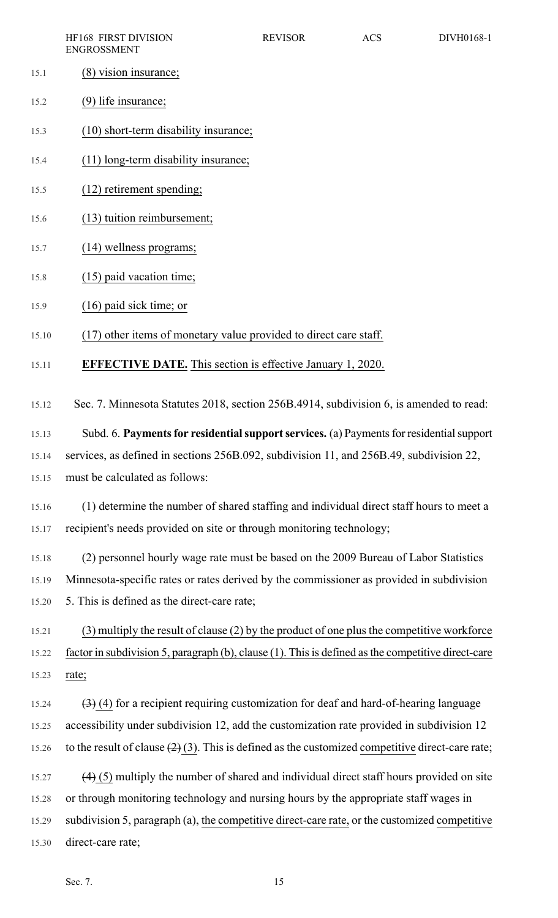|                | HF168 FIRST DIVISION<br><b>ENGROSSMENT</b>                                                         | <b>REVISOR</b> | <b>ACS</b> | DIVH0168-1 |
|----------------|----------------------------------------------------------------------------------------------------|----------------|------------|------------|
| 15.1           | $(8)$ vision insurance;                                                                            |                |            |            |
| 15.2           | $(9)$ life insurance;                                                                              |                |            |            |
| 15.3           | (10) short-term disability insurance;                                                              |                |            |            |
| 15.4           | (11) long-term disability insurance;                                                               |                |            |            |
| 15.5           | (12) retirement spending;                                                                          |                |            |            |
| 15.6           | (13) tuition reimbursement;                                                                        |                |            |            |
| 15.7           | $(14)$ wellness programs;                                                                          |                |            |            |
| 15.8           | $(15)$ paid vacation time;                                                                         |                |            |            |
| 15.9           | $(16)$ paid sick time; or                                                                          |                |            |            |
| 15.10          | (17) other items of monetary value provided to direct care staff.                                  |                |            |            |
| 15.11          | <b>EFFECTIVE DATE.</b> This section is effective January 1, 2020.                                  |                |            |            |
| 15.12          | Sec. 7. Minnesota Statutes 2018, section 256B.4914, subdivision 6, is amended to read:             |                |            |            |
| 15.13          | Subd. 6. Payments for residential support services. (a) Payments for residential support           |                |            |            |
| 15.14          | services, as defined in sections 256B.092, subdivision 11, and 256B.49, subdivision 22,            |                |            |            |
| 15.15          | must be calculated as follows:                                                                     |                |            |            |
|                | (1) determine the number of shared staffing and individual direct staff hours to meet a            |                |            |            |
| 15.16<br>15.17 | recipient's needs provided on site or through monitoring technology;                               |                |            |            |
|                |                                                                                                    |                |            |            |
| 15.18          | (2) personnel hourly wage rate must be based on the 2009 Bureau of Labor Statistics                |                |            |            |
| 15.19          | Minnesota-specific rates or rates derived by the commissioner as provided in subdivision           |                |            |            |
| 15.20          | 5. This is defined as the direct-care rate;                                                        |                |            |            |
| 15.21          | $(3)$ multiply the result of clause $(2)$ by the product of one plus the competitive workforce     |                |            |            |
| 15.22          | factor in subdivision 5, paragraph (b), clause (1). This is defined as the competitive direct-care |                |            |            |
| 15.23          | rate;                                                                                              |                |            |            |
| 15.24          | $(3)$ (4) for a recipient requiring customization for deaf and hard-of-hearing language            |                |            |            |
| 15.25          | accessibility under subdivision 12, add the customization rate provided in subdivision 12          |                |            |            |
| 15.26          | to the result of clause $(2)(3)$ . This is defined as the customized competitive direct-care rate; |                |            |            |
| 15.27          | $(4)$ (5) multiply the number of shared and individual direct staff hours provided on site         |                |            |            |
| 15.28          | or through monitoring technology and nursing hours by the appropriate staff wages in               |                |            |            |
| 15.29          | subdivision 5, paragraph (a), the competitive direct-care rate, or the customized competitive      |                |            |            |
| 15.30          | direct-care rate:                                                                                  |                |            |            |
|                |                                                                                                    |                |            |            |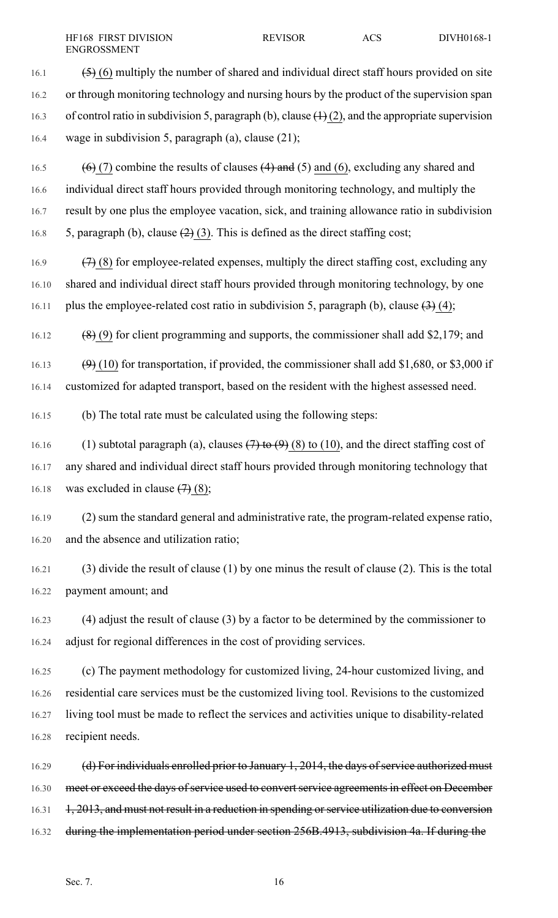16.1  $\left(5\right)$  (6) multiply the number of shared and individual direct staff hours provided on site 16.2 or through monitoring technology and nursing hours by the product of the supervision span 16.3 of control ratio in subdivision 5, paragraph (b), clause  $(1)(2)$ , and the appropriate supervision 16.4 wage in subdivision 5, paragraph (a), clause (21);

16.5 (6) (7) combine the results of clauses  $(4)$  and  $(5)$  and  $(6)$ , excluding any shared and 16.6 individual direct staff hours provided through monitoring technology, and multiply the 16.7 result by one plus the employee vacation, sick, and training allowance ratio in subdivision 16.8 5, paragraph (b), clause  $(2)$  (3). This is defined as the direct staffing cost;

16.9  $(7)$  (8) for employee-related expenses, multiply the direct staffing cost, excluding any 16.10 shared and individual direct staff hours provided through monitoring technology, by one 16.11 plus the employee-related cost ratio in subdivision 5, paragraph (b), clause  $(3)$  (4);

16.12 (8) (9) for client programming and supports, the commissioner shall add \$2,179; and

16.13  $(9)$  (10) for transportation, if provided, the commissioner shall add \$1,680, or \$3,000 if 16.14 customized for adapted transport, based on the resident with the highest assessed need.

16.15 (b) The total rate must be calculated using the following steps:

16.16 (1) subtotal paragraph (a), clauses  $(7)$  to  $(9)$  (8) to (10), and the direct staffing cost of 16.17 any shared and individual direct staff hours provided through monitoring technology that 16.18 was excluded in clause  $(7)(8)$ ;

16.19 (2) sum the standard general and administrative rate, the program-related expense ratio, 16.20 and the absence and utilization ratio;

16.21 (3) divide the result of clause (1) by one minus the result of clause (2). This is the total 16.22 payment amount; and

16.23 (4) adjust the result of clause (3) by a factor to be determined by the commissioner to 16.24 adjust for regional differences in the cost of providing services.

16.25 (c) The payment methodology for customized living, 24-hour customized living, and 16.26 residential care services must be the customized living tool. Revisions to the customized 16.27 living tool must be made to reflect the services and activities unique to disability-related 16.28 recipient needs.

16.29 (d) For individuals enrolled prior to January 1, 2014, the days of service authorized must 16.30 meet or exceed the days of service used to convert service agreements in effect on December 16.31 1, 2013, and must not result in a reduction in spending or service utilization due to conversion 16.32 during the implementation period under section 256B.4913, subdivision 4a. If during the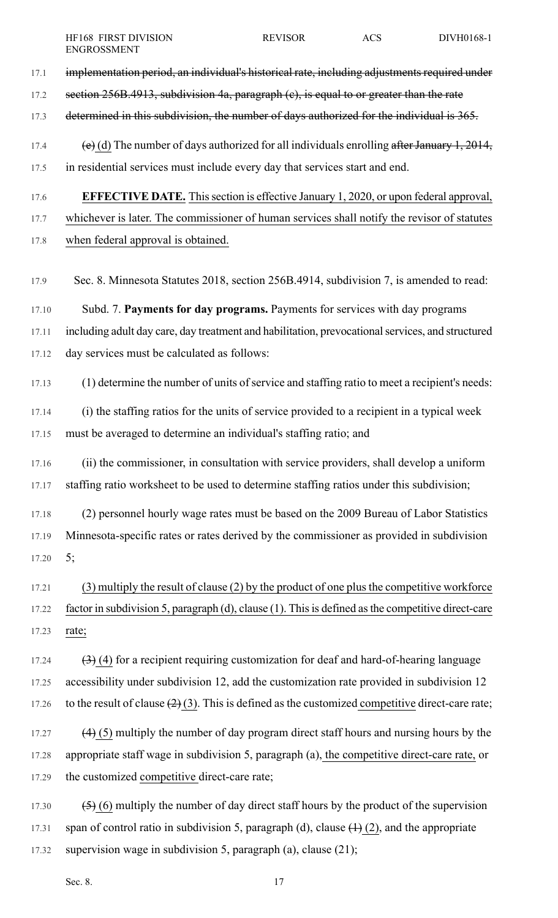- 17.1 implementation period, an individual's historical rate, including adjustments required under 17.2 section 256B.4913, subdivision 4a, paragraph (c), is equal to or greater than the rate 17.3 determined in this subdivision, the number of days authorized for the individual is 365. 17.4 (e) (d) The number of days authorized for all individuals enrolling after January 1, 2014,
- 17.5 in residential services must include every day that services start and end.
- 17.6 **EFFECTIVE DATE.** Thissection is effective January 1, 2020, or upon federal approval,

17.7 whichever is later. The commissioner of human services shall notify the revisor of statutes

- 17.8 when federal approval is obtained.
- 17.9 Sec. 8. Minnesota Statutes 2018, section 256B.4914, subdivision 7, is amended to read:

17.10 Subd. 7. **Payments for day programs.** Payments for services with day programs 17.11 including adult day care, day treatment and habilitation, prevocationalservices, and structured 17.12 day services must be calculated as follows:

17.13 (1) determine the number of units of service and staffing ratio to meet a recipient's needs:

17.14 (i) the staffing ratios for the units of service provided to a recipient in a typical week 17.15 must be averaged to determine an individual's staffing ratio; and

17.16 (ii) the commissioner, in consultation with service providers, shall develop a uniform 17.17 staffing ratio worksheet to be used to determine staffing ratios under this subdivision;

17.18 (2) personnel hourly wage rates must be based on the 2009 Bureau of Labor Statistics 17.19 Minnesota-specific rates or rates derived by the commissioner as provided in subdivision 17.20 5;

17.21 (3) multiply the result of clause (2) by the product of one plusthe competitive workforce 17.22 factor in subdivision 5, paragraph (d), clause (1). Thisis defined asthe competitive direct-care 17.23 rate;

17.24  $(3)$  (4) for a recipient requiring customization for deaf and hard-of-hearing language 17.25 accessibility under subdivision 12, add the customization rate provided in subdivision 12 17.26 to the result of clause  $(2)(3)$ . This is defined as the customized competitive direct-care rate;

17.27  $(4)$  (5) multiply the number of day program direct staff hours and nursing hours by the 17.28 appropriate staff wage in subdivision 5, paragraph (a), the competitive direct-care rate, or 17.29 the customized competitive direct-care rate;

17.30  $(5)$  (6) multiply the number of day direct staff hours by the product of the supervision 17.31 span of control ratio in subdivision 5, paragraph (d), clause  $(1)$  (2), and the appropriate 17.32 supervision wage in subdivision 5, paragraph (a), clause (21);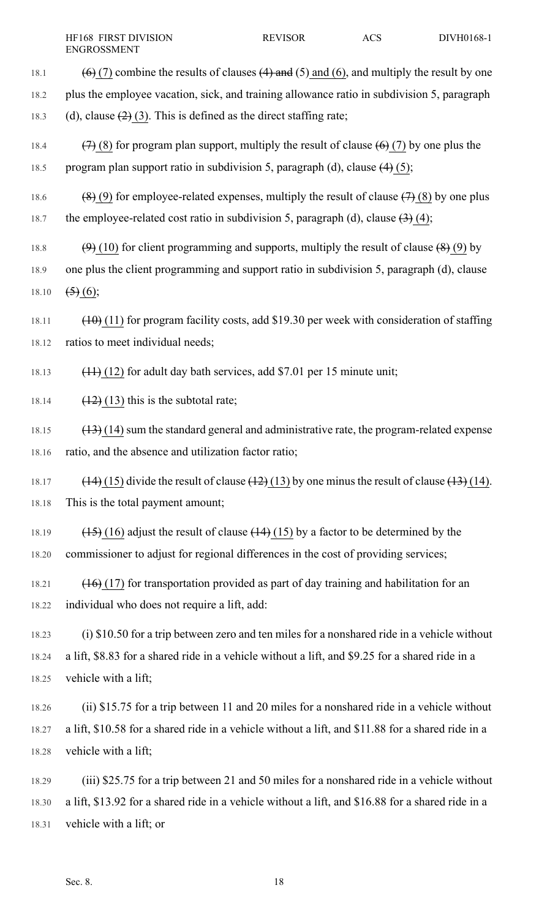18.1 (6) (7) combine the results of clauses  $(4)$  and  $(5)$  and  $(6)$ , and multiply the result by one 18.2 plus the employee vacation, sick, and training allowance ratio in subdivision 5, paragraph 18.3 (d), clause  $(2)(3)$ . This is defined as the direct staffing rate; 18.4  $(7)$  (8) for program plan support, multiply the result of clause  $(6)$  (7) by one plus the 18.5 program plan support ratio in subdivision 5, paragraph (d), clause  $(4)$  (5); 18.6 (8) (9) for employee-related expenses, multiply the result of clause  $(7)(8)$  by one plus 18.7 the employee-related cost ratio in subdivision 5, paragraph (d), clause  $\left(3\right)$  (4); 18.8  $(9)$  (10) for client programming and supports, multiply the result of clause  $(8)$  (9) by 18.9 one plus the client programming and support ratio in subdivision 5, paragraph (d), clause 18.10  $\left(5\right)_{.6}$ ; 18.11  $(10)(11)$  for program facility costs, add \$19.30 per week with consideration of staffing 18.12 ratios to meet individual needs; 18.13  $(11)$  (12) for adult day bath services, add \$7.01 per 15 minute unit; 18.14  $(12)(13)$  this is the subtotal rate;

18.15  $(13)$  (14) sum the standard general and administrative rate, the program-related expense 18.16 ratio, and the absence and utilization factor ratio;

- 18.17  $(14)$  (15) divide the result of clause  $(12)$  (13) by one minus the result of clause  $(13)$  (14). 18.18 This is the total payment amount;
- 18.19  $(15)$  (16) adjust the result of clause  $(14)$  (15) by a factor to be determined by the 18.20 commissioner to adjust for regional differences in the cost of providing services;
- 18.21 (16) (17) for transportation provided as part of day training and habilitation for an 18.22 individual who does not require a lift, add:
- 18.23 (i) \$10.50 for a trip between zero and ten miles for a nonshared ride in a vehicle without 18.24 a lift, \$8.83 for a shared ride in a vehicle without a lift, and \$9.25 for a shared ride in a 18.25 vehicle with a lift;
- 18.26 (ii) \$15.75 for a trip between 11 and 20 miles for a nonshared ride in a vehicle without 18.27 a lift, \$10.58 for a shared ride in a vehicle without a lift, and \$11.88 for a shared ride in a 18.28 vehicle with a lift;
- 18.29 (iii) \$25.75 for a trip between 21 and 50 miles for a nonshared ride in a vehicle without 18.30 a lift, \$13.92 for a shared ride in a vehicle without a lift, and \$16.88 for a shared ride in a 18.31 vehicle with a lift; or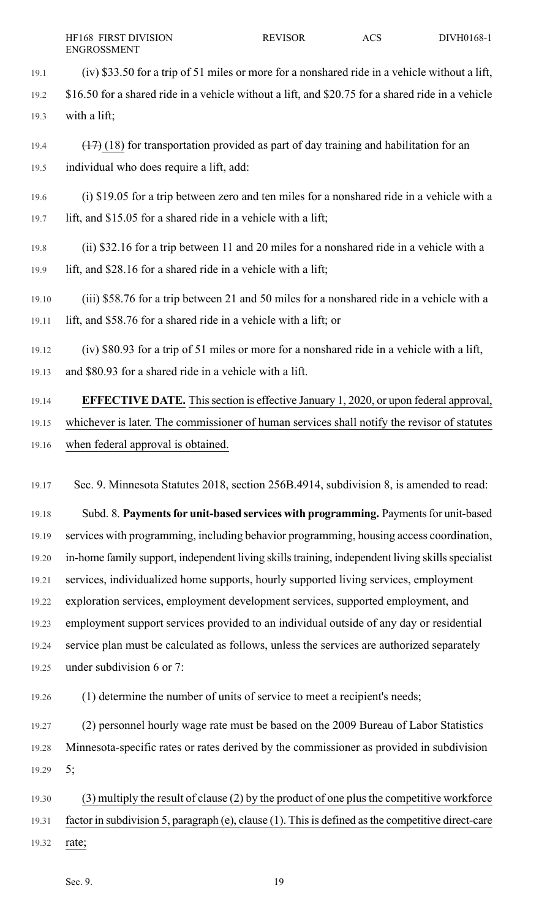- 19.1 (iv) \$33.50 for a trip of 51 miles or more for a nonshared ride in a vehicle without a lift, 19.2 \$16.50 for a shared ride in a vehicle without a lift, and \$20.75 for a shared ride in a vehicle 19.3 with a lift;
- 19.4 (17) (18) for transportation provided as part of day training and habilitation for an 19.5 individual who does require a lift, add:
- 19.6 (i) \$19.05 for a trip between zero and ten miles for a nonshared ride in a vehicle with a 19.7 lift, and \$15.05 for a shared ride in a vehicle with a lift;
- 19.8 (ii) \$32.16 for a trip between 11 and 20 miles for a nonshared ride in a vehicle with a 19.9 lift, and \$28.16 for a shared ride in a vehicle with a lift;
- 19.10 (iii) \$58.76 for a trip between 21 and 50 miles for a nonshared ride in a vehicle with a 19.11 lift, and \$58.76 for a shared ride in a vehicle with a lift; or
- 19.12 (iv) \$80.93 for a trip of 51 miles or more for a nonshared ride in a vehicle with a lift, 19.13 and \$80.93 for a shared ride in a vehicle with a lift.
- 19.14 **EFFECTIVE DATE.** Thissection is effective January 1, 2020, or upon federal approval, 19.15 whichever is later. The commissioner of human services shall notify the revisor of statutes 19.16 when federal approval is obtained.
- 19.17 Sec. 9. Minnesota Statutes 2018, section 256B.4914, subdivision 8, is amended to read:
- 19.18 Subd. 8. **Paymentsfor unit-based services with programming.** Paymentsfor unit-based 19.19 services with programming, including behavior programming, housing access coordination, 19.20 in-home family support, independent living skills training, independent living skills specialist 19.21 services, individualized home supports, hourly supported living services, employment 19.22 exploration services, employment development services, supported employment, and 19.23 employment support services provided to an individual outside of any day or residential 19.24 service plan must be calculated as follows, unless the services are authorized separately 19.25 under subdivision 6 or 7:
- 19.26 (1) determine the number of units of service to meet a recipient's needs;
- 19.27 (2) personnel hourly wage rate must be based on the 2009 Bureau of Labor Statistics 19.28 Minnesota-specific rates or rates derived by the commissioner as provided in subdivision 19.29 5;
- 19.30 (3) multiply the result of clause (2) by the product of one plusthe competitive workforce 19.31 factor in subdivision 5, paragraph (e), clause (1). Thisis defined asthe competitive direct-care 19.32 rate;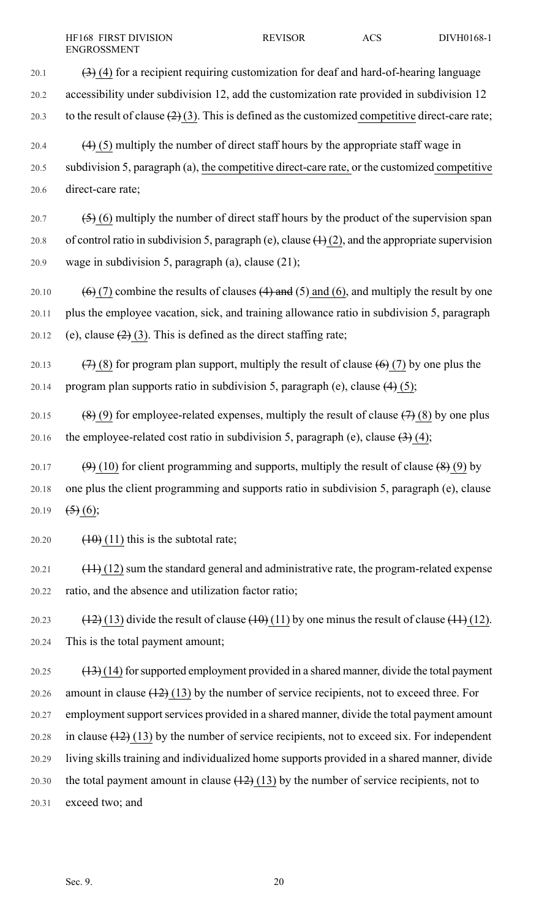20.1  $(3)$  (4) for a recipient requiring customization for deaf and hard-of-hearing language

20.2 accessibility under subdivision 12, add the customization rate provided in subdivision 12

20.3 to the result of clause  $(2)(3)$ . This is defined as the customized competitive direct-care rate;

20.4 (4) (5) multiply the number of direct staff hours by the appropriate staff wage in 20.5 subdivision 5, paragraph (a), the competitive direct-care rate, or the customized competitive 20.6 direct-care rate;

20.7  $(5)$  (6) multiply the number of direct staff hours by the product of the supervision span 20.8 of control ratio in subdivision 5, paragraph (e), clause  $(1)(2)$ , and the appropriate supervision 20.9 wage in subdivision 5, paragraph (a), clause (21);

20.10  $(6)$  (7) combine the results of clauses (4) and (5) and (6), and multiply the result by one 20.11 plus the employee vacation, sick, and training allowance ratio in subdivision 5, paragraph 20.12 (e), clause  $(2)(3)$ . This is defined as the direct staffing rate;

20.13  $(7)$  (8) for program plan support, multiply the result of clause  $(6)$  (7) by one plus the 20.14 program plan supports ratio in subdivision 5, paragraph (e), clause  $(4)$  (5);

20.15 (8) (9) for employee-related expenses, multiply the result of clause  $(7)(8)$  by one plus 20.16 the employee-related cost ratio in subdivision 5, paragraph (e), clause  $\left(\frac{3}{2}\right)$  (4);

20.17 (9) (10) for client programming and supports, multiply the result of clause  $(8)(9)$  by 20.18 one plus the client programming and supports ratio in subdivision 5, paragraph (e), clause 20.19  $(5)(6)$ ;

20.20  $(10)(11)$  this is the subtotal rate;

 $20.21$  (11) (12) sum the standard general and administrative rate, the program-related expense 20.22 ratio, and the absence and utilization factor ratio;

20.23  $(12)(13)$  divide the result of clause  $(10)(11)$  by one minus the result of clause  $(11)(12)$ . 20.24 This is the total payment amount;

20.25  $(13)(14)$  for supported employment provided in a shared manner, divide the total payment 20.26 amount in clause  $(12)(13)$  by the number of service recipients, not to exceed three. For 20.27 employment support services provided in a shared manner, divide the total payment amount 20.28 in clause  $(12)$  (13) by the number of service recipients, not to exceed six. For independent 20.29 living skills training and individualized home supports provided in a shared manner, divide 20.30 the total payment amount in clause  $(12)(13)$  by the number of service recipients, not to 20.31 exceed two; and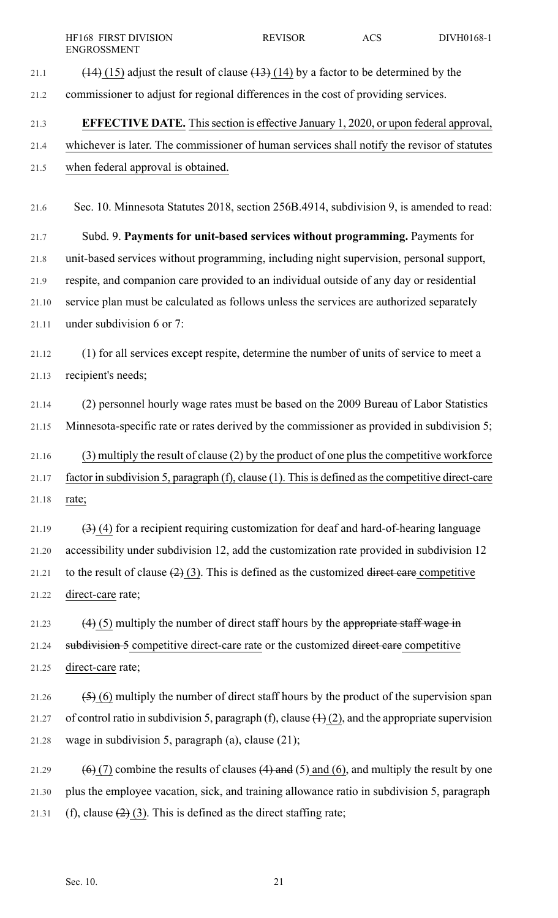- 
- 21.1  $(14)$  (15) adjust the result of clause  $(13)$  (14) by a factor to be determined by the
- 21.2 commissioner to adjust for regional differences in the cost of providing services.

# 21.3 **EFFECTIVE DATE.** Thissection is effective January 1, 2020, or upon federal approval,

21.4 whichever is later. The commissioner of human services shall notify the revisor of statutes 21.5 when federal approval is obtained.

21.6 Sec. 10. Minnesota Statutes 2018, section 256B.4914, subdivision 9, is amended to read:

21.7 Subd. 9. **Payments for unit-based services without programming.** Payments for 21.8 unit-based services without programming, including night supervision, personal support, 21.9 respite, and companion care provided to an individual outside of any day or residential 21.10 service plan must be calculated as follows unless the services are authorized separately 21.11 under subdivision 6 or 7:

21.12 (1) for all services except respite, determine the number of units of service to meet a 21.13 recipient's needs;

21.14 (2) personnel hourly wage rates must be based on the 2009 Bureau of Labor Statistics 21.15 Minnesota-specific rate or rates derived by the commissioner as provided in subdivision 5;

21.16 (3) multiply the result of clause (2) by the product of one plusthe competitive workforce 21.17 factor in subdivision 5, paragraph (f), clause (1). Thisis defined asthe competitive direct-care 21.18 rate;

21.19  $(3)$  (4) for a recipient requiring customization for deaf and hard-of-hearing language 21.20 accessibility under subdivision 12, add the customization rate provided in subdivision 12 21.21 to the result of clause  $(2)$  (3). This is defined as the customized direct care competitive 21.22 direct-care rate;

21.23  $(4)$  (5) multiply the number of direct staff hours by the appropriate staff wage in 21.24 subdivision 5 competitive direct-care rate or the customized direct care competitive 21.25 direct-care rate;

21.26  $(5)$  (6) multiply the number of direct staff hours by the product of the supervision span 21.27 of control ratio in subdivision 5, paragraph (f), clause  $(1)(2)$ , and the appropriate supervision 21.28 wage in subdivision 5, paragraph (a), clause (21);

21.29  $(6)$  (7) combine the results of clauses (4) and (5) and (6), and multiply the result by one 21.30 plus the employee vacation, sick, and training allowance ratio in subdivision 5, paragraph 21.31 (f), clause  $(2)(3)$ . This is defined as the direct staffing rate;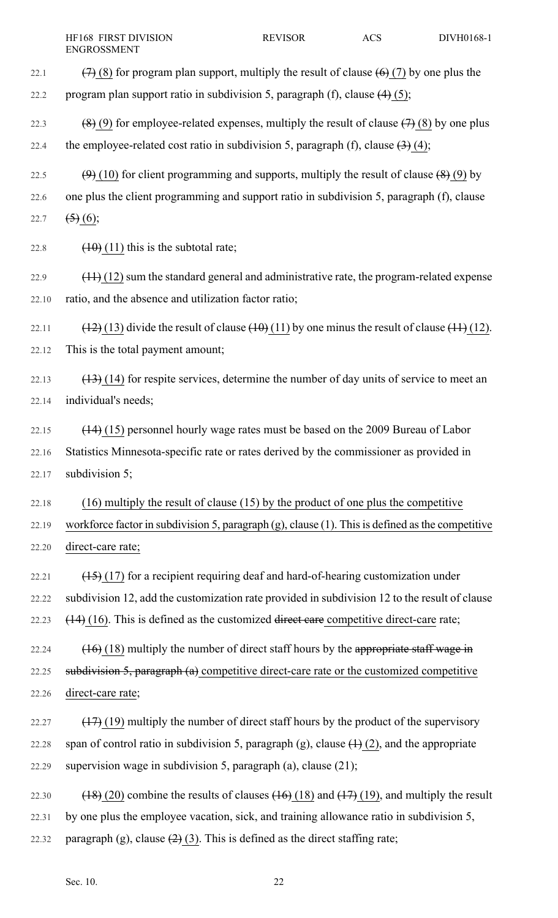| 22.1  | $(7)$ (8) for program plan support, multiply the result of clause $(6)$ (7) by one plus the            |
|-------|--------------------------------------------------------------------------------------------------------|
| 22.2  | program plan support ratio in subdivision 5, paragraph (f), clause $(4)$ (5);                          |
| 22.3  | $(8)$ (9) for employee-related expenses, multiply the result of clause $(7)$ (8) by one plus           |
| 22.4  | the employee-related cost ratio in subdivision 5, paragraph (f), clause $(3)$ (4);                     |
| 22.5  | $(9)$ (10) for client programming and supports, multiply the result of clause $(8)$ (9) by             |
| 22.6  | one plus the client programming and support ratio in subdivision 5, paragraph (f), clause              |
| 22.7  | $\left( 5 \right) (6)$ ;                                                                               |
| 22.8  | $(10)(11)$ this is the subtotal rate;                                                                  |
| 22.9  | $(11)(12)$ sum the standard general and administrative rate, the program-related expense               |
| 22.10 | ratio, and the absence and utilization factor ratio;                                                   |
| 22.11 | $(12)(13)$ divide the result of clause $(10)(11)$ by one minus the result of clause $(11)(12)$ .       |
| 22.12 | This is the total payment amount;                                                                      |
| 22.13 | $(13)$ (14) for respite services, determine the number of day units of service to meet an              |
| 22.14 | individual's needs;                                                                                    |
| 22.15 | $(14)$ (15) personnel hourly wage rates must be based on the 2009 Bureau of Labor                      |
| 22.16 | Statistics Minnesota-specific rate or rates derived by the commissioner as provided in                 |
| 22.17 | subdivision 5;                                                                                         |
| 22.18 | $(16)$ multiply the result of clause $(15)$ by the product of one plus the competitive                 |
| 22.19 | workforce factor in subdivision 5, paragraph $(g)$ , clause $(1)$ . This is defined as the competitive |
| 22.20 | direct-care rate;                                                                                      |
| 22.21 | $(15)$ (17) for a recipient requiring deaf and hard-of-hearing customization under                     |
| 22.22 | subdivision 12, add the customization rate provided in subdivision 12 to the result of clause          |
| 22.23 | $(14)$ (16). This is defined as the customized direct care competitive direct-care rate;               |
| 22.24 | $(16)$ (18) multiply the number of direct staff hours by the appropriate staff wage in                 |
| 22.25 | subdivision $5$ , paragraph $(a)$ competitive direct-care rate or the customized competitive           |
| 22.26 | direct-care rate;                                                                                      |
| 22.27 | $(17)$ (19) multiply the number of direct staff hours by the product of the supervisory                |
| 22.28 | span of control ratio in subdivision 5, paragraph (g), clause $(1)$ (2), and the appropriate           |
| 22.29 | supervision wage in subdivision 5, paragraph (a), clause (21);                                         |
| 22.30 | $(18)(20)$ combine the results of clauses $(16)(18)$ and $(17)(19)$ , and multiply the result          |
| 22.31 | by one plus the employee vacation, sick, and training allowance ratio in subdivision 5,                |
| 22.32 | paragraph (g), clause $(2)(3)$ . This is defined as the direct staffing rate;                          |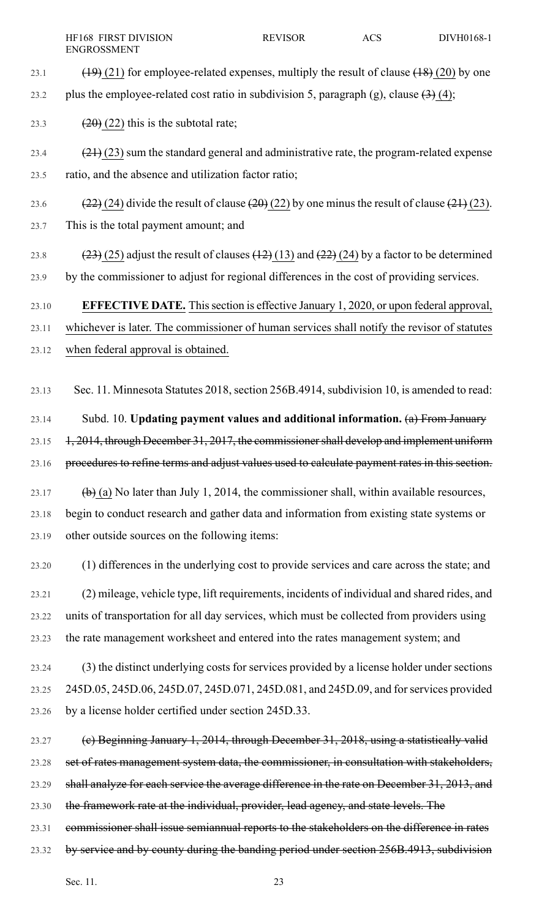- 23.1  $(19)(21)$  for employee-related expenses, multiply the result of clause  $(18)(20)$  by one
- 23.2 plus the employee-related cost ratio in subdivision 5, paragraph (g), clause  $\left(3\right)$  (4);

23.3  $(20)(22)$  this is the subtotal rate;

- 23.4  $(21)(23)$  sum the standard general and administrative rate, the program-related expense 23.5 ratio, and the absence and utilization factor ratio;
- 23.6 (22) (24) divide the result of clause  $(20)(22)$  by one minus the result of clause  $(21)(23)$ . 23.7 This is the total payment amount; and
- 23.8 (23) (25) adjust the result of clauses  $(12)$  (13) and  $(22)$  (24) by a factor to be determined 23.9 by the commissioner to adjust for regional differences in the cost of providing services.

## 23.10 **EFFECTIVE DATE.** Thissection is effective January 1, 2020, or upon federal approval,

23.11 whichever is later. The commissioner of human services shall notify the revisor of statutes

23.12 when federal approval is obtained.

23.13 Sec. 11. Minnesota Statutes 2018, section 256B.4914, subdivision 10, is amended to read:

23.14 Subd. 10. **Updating payment values and additional information.** (a) From January 23.15 1, 2014, through December 31, 2017, the commissioner shall develop and implement uniform

23.16 procedures to refine terms and adjust values used to calculate payment rates in this section.

- 23.17 (b) (a) No later than July 1, 2014, the commissioner shall, within available resources, 23.18 begin to conduct research and gather data and information from existing state systems or 23.19 other outside sources on the following items:
- 23.20 (1) differences in the underlying cost to provide services and care across the state; and 23.21 (2) mileage, vehicle type, lift requirements, incidents of individual and shared rides, and 23.22 units of transportation for all day services, which must be collected from providers using 23.23 the rate management worksheet and entered into the rates management system; and
- 23.24 (3) the distinct underlying costs for services provided by a license holder under sections 23.25 245D.05, 245D.06, 245D.07, 245D.071, 245D.081, and 245D.09, and forservices provided 23.26 by a license holder certified under section 245D.33.
- 23.27 (c) Beginning January 1, 2014, through December 31, 2018, using a statistically valid 23.28 set of rates management system data, the commissioner, in consultation with stakeholders, 23.29 shall analyze for each service the average difference in the rate on December 31, 2013, and 23.30 the framework rate at the individual, provider, lead agency, and state levels. The 23.31 commissioner shall issue semiannual reports to the stakeholders on the difference in rates
- 23.32 by service and by county during the banding period under section 256B.4913, subdivision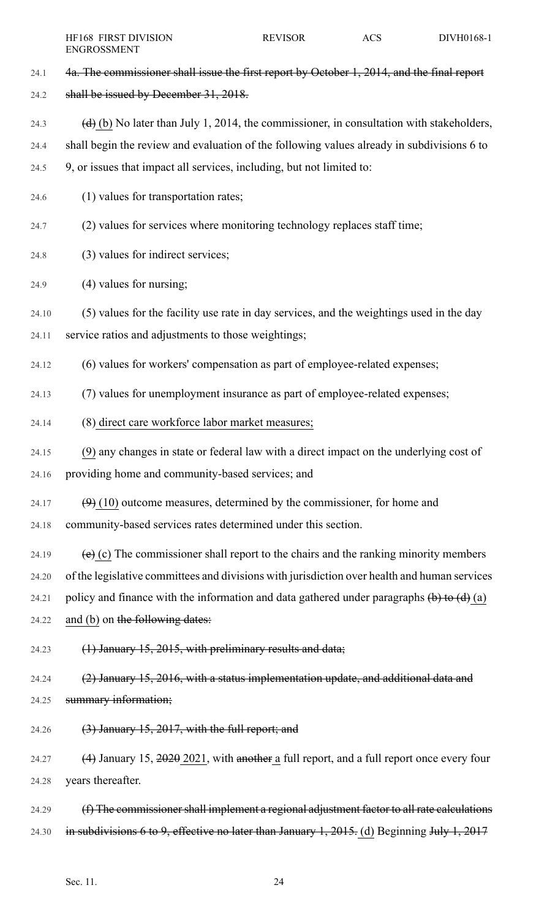24.1 4a. The commissioner shall issue the first report by October 1, 2014, and the final report 24.2 shall be issued by December 31, 2018. 24.3 (d) (b) No later than July 1, 2014, the commissioner, in consultation with stakeholders, 24.4 shall begin the review and evaluation of the following values already in subdivisions 6 to 24.5 9, or issues that impact all services, including, but not limited to: 24.6 (1) values for transportation rates; 24.7 (2) values for services where monitoring technology replaces staff time; 24.8 (3) values for indirect services; 24.9 (4) values for nursing; 24.10 (5) values for the facility use rate in day services, and the weightings used in the day 24.11 service ratios and adjustments to those weightings; 24.12 (6) values for workers' compensation as part of employee-related expenses; 24.13 (7) values for unemployment insurance as part of employee-related expenses; 24.14 (8) direct care workforce labor market measures; 24.15 (9) any changes in state or federal law with a direct impact on the underlying cost of 24.16 providing home and community-based services; and 24.17  $(9)$  (10) outcome measures, determined by the commissioner, for home and 24.18 community-based services rates determined under this section. 24.19  $\left(e\right)$  (c) The commissioner shall report to the chairs and the ranking minority members 24.20 of the legislative committees and divisions with jurisdiction over health and human services 24.21 policy and finance with the information and data gathered under paragraphs  $\left(\mathbf{b}\right)$  to  $\left(\mathbf{d}\right)$  (a) 24.22 and (b) on the following dates: 24.23 (1) January 15, 2015, with preliminary results and data; 24.24 (2) January 15, 2016, with a status implementation update, and additional data and 24.25 **summary information;** 24.26  $(3)$  January 15, 2017, with the full report; and 24.27 (4) January 15,  $\frac{2020}{2021}$ , with another a full report, and a full report once every four 24.28 years thereafter. 24.29 (f) The commissioner shall implement a regional adjustment factor to all rate calculations 24.30 in subdivisions 6 to 9, effective no later than January 1, 2015. (d) Beginning July 1, 2017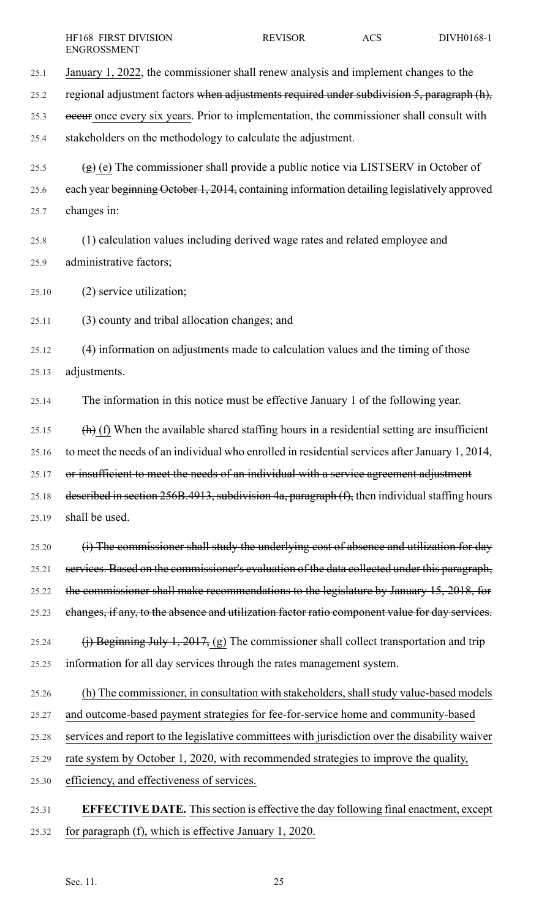25.1 January 1, 2022, the commissioner shall renew analysis and implement changes to the 25.2 regional adjustment factors when adjustments required under subdivision 5, paragraph (h), 25.3 occur once every six years. Prior to implementation, the commissioner shall consult with 25.4 stakeholders on the methodology to calculate the adjustment. 25.5  $(g)$  (e) The commissioner shall provide a public notice via LISTSERV in October of 25.6 each year beginning October 1, 2014, containing information detailing legislatively approved 25.7 changes in: 25.8 (1) calculation values including derived wage rates and related employee and 25.9 administrative factors;

25.10 (2) service utilization;

25.11 (3) county and tribal allocation changes; and

25.12 (4) information on adjustments made to calculation values and the timing of those 25.13 adjustments.

25.14 The information in this notice must be effective January 1 of the following year.

25.15  $(h)$  (f) When the available shared staffing hours in a residential setting are insufficient 25.16 to meet the needs of an individual who enrolled in residential services after January 1, 2014, 25.17 or insufficient to meet the needs of an individual with a service agreement adjustment 25.18 described in section 256B.4913, subdivision 4a, paragraph (f), then individual staffing hours 25.19 shall be used.

25.20 (i) The commissioner shall study the underlying cost of absence and utilization for day 25.21 services. Based on the commissioner's evaluation of the data collected under this paragraph, 25.22 the commissioner shall make recommendations to the legislature by January 15, 2018, for 25.23 changes, if any, to the absence and utilization factor ratio component value for day services.

25.24 (i) Beginning July 1, 2017, (g) The commissioner shall collect transportation and trip 25.25 information for all day services through the rates management system.

25.26 (h) The commissioner, in consultation with stakeholders, shall study value-based models

25.27 and outcome-based payment strategies for fee-for-service home and community-based

25.28 services and report to the legislative committees with jurisdiction over the disability waiver

25.29 rate system by October 1, 2020, with recommended strategies to improve the quality,

25.30 efficiency, and effectiveness of services.

25.31 **EFFECTIVE DATE.** Thissection is effective the day following final enactment, except 25.32 for paragraph (f), which is effective January 1, 2020.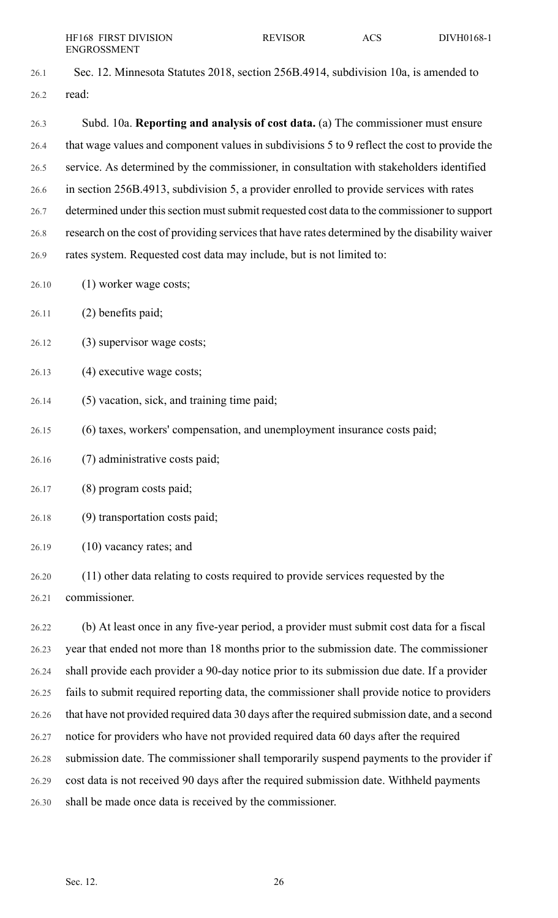- 26.1 Sec. 12. Minnesota Statutes 2018, section 256B.4914, subdivision 10a, is amended to 26.2 read: 26.3 Subd. 10a. **Reporting and analysis of cost data.** (a) The commissioner must ensure 26.4 that wage values and component values in subdivisions 5 to 9 reflect the cost to provide the 26.5 service. As determined by the commissioner, in consultation with stakeholders identified 26.6 in section 256B.4913, subdivision 5, a provider enrolled to provide services with rates 26.7 determined under this section must submit requested cost data to the commissioner to support 26.8 research on the cost of providing services that have rates determined by the disability waiver 26.9 rates system. Requested cost data may include, but is not limited to: 26.10 (1) worker wage costs; 26.11 (2) benefits paid;
- 26.12 (3) supervisor wage costs;
- 26.13 (4) executive wage costs;
- 26.14 (5) vacation, sick, and training time paid;
- 26.15 (6) taxes, workers' compensation, and unemployment insurance costs paid;
- 26.16 (7) administrative costs paid;
- 26.17 (8) program costs paid;
- 26.18 (9) transportation costs paid;
- 26.19 (10) vacancy rates; and
- 26.20 (11) other data relating to costs required to provide services requested by the 26.21 commissioner.

26.22 (b) At least once in any five-year period, a provider must submit cost data for a fiscal 26.23 year that ended not more than 18 months prior to the submission date. The commissioner 26.24 shall provide each provider a 90-day notice prior to its submission due date. If a provider 26.25 fails to submit required reporting data, the commissioner shall provide notice to providers 26.26 that have not provided required data 30 days after the required submission date, and a second 26.27 notice for providers who have not provided required data 60 days after the required 26.28 submission date. The commissioner shall temporarily suspend payments to the provider if 26.29 cost data is not received 90 days after the required submission date. Withheld payments 26.30 shall be made once data is received by the commissioner.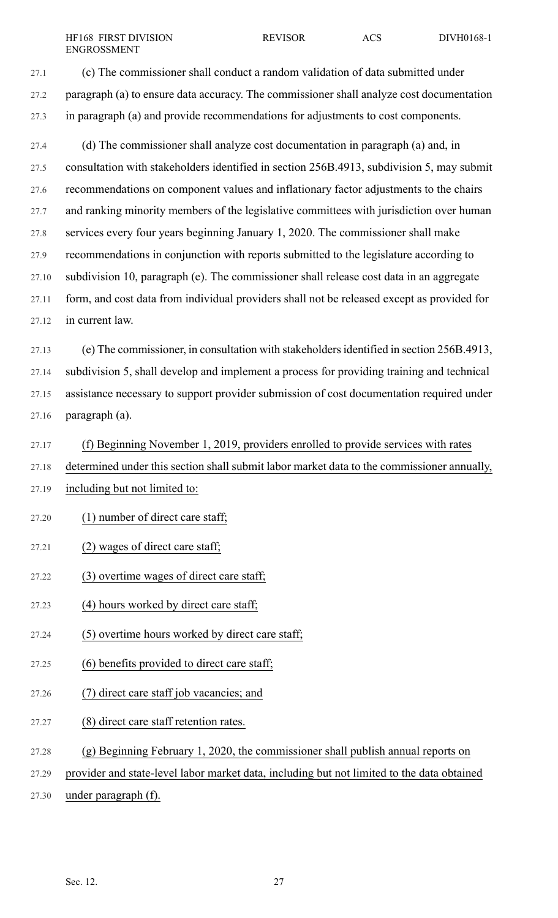27.1 (c) The commissioner shall conduct a random validation of data submitted under 27.2 paragraph (a) to ensure data accuracy. The commissioner shall analyze cost documentation 27.3 in paragraph (a) and provide recommendations for adjustments to cost components.

27.4 (d) The commissioner shall analyze cost documentation in paragraph (a) and, in 27.5 consultation with stakeholders identified in section 256B.4913, subdivision 5, may submit 27.6 recommendations on component values and inflationary factor adjustments to the chairs 27.7 and ranking minority members of the legislative committees with jurisdiction over human 27.8 services every four years beginning January 1, 2020. The commissioner shall make 27.9 recommendations in conjunction with reports submitted to the legislature according to 27.10 subdivision 10, paragraph (e). The commissioner shall release cost data in an aggregate 27.11 form, and cost data from individual providers shall not be released except as provided for 27.12 in current law.

27.13 (e) The commissioner, in consultation with stakeholdersidentified in section 256B.4913, 27.14 subdivision 5, shall develop and implement a process for providing training and technical 27.15 assistance necessary to support provider submission of cost documentation required under 27.16 paragraph (a).

27.17 (f) Beginning November 1, 2019, providers enrolled to provide services with rates 27.18 determined under this section shall submit labor market data to the commissioner annually,

- 27.19 including but not limited to:
- 27.20 (1) number of direct care staff;

#### 27.21 (2) wages of direct care staff;

- 27.22 (3) overtime wages of direct care staff;
- 27.23 (4) hours worked by direct care staff;
- 27.24 (5) overtime hours worked by direct care staff;
- 27.25 (6) benefits provided to direct care staff;
- 27.26 (7) direct care staff job vacancies; and
- 27.27 (8) direct care staff retention rates.
- 27.28 (g) Beginning February 1, 2020, the commissioner shall publish annual reports on
- 27.29 provider and state-level labor market data, including but not limited to the data obtained
- 27.30 under paragraph (f).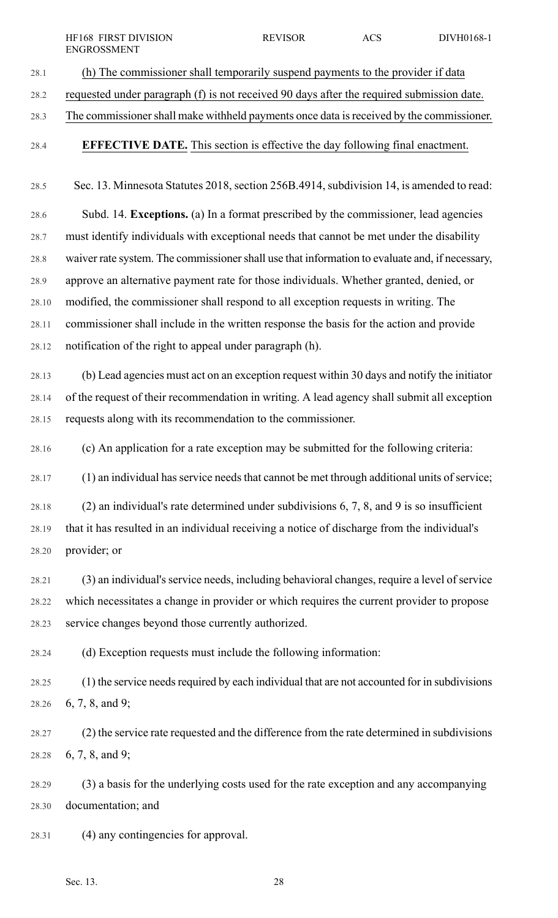- 28.1 (h) The commissioner shall temporarily suspend payments to the provider if data 28.2 requested under paragraph (f) is not received 90 days after the required submission date. 28.3 The commissionershall make withheld payments once data isreceived by the commissioner. 28.4 **EFFECTIVE DATE.** This section is effective the day following final enactment. 28.5 Sec. 13. Minnesota Statutes 2018, section 256B.4914, subdivision 14, is amended to read: 28.6 Subd. 14. **Exceptions.** (a) In a format prescribed by the commissioner, lead agencies 28.7 must identify individuals with exceptional needs that cannot be met under the disability 28.8 waiver rate system. The commissionershall use that information to evaluate and, if necessary, 28.9 approve an alternative payment rate for those individuals. Whether granted, denied, or 28.10 modified, the commissioner shall respond to all exception requests in writing. The 28.11 commissioner shall include in the written response the basis for the action and provide 28.12 notification of the right to appeal under paragraph (h). 28.13 (b) Lead agencies must act on an exception request within 30 days and notify the initiator 28.14 of the request of their recommendation in writing. A lead agency shall submit all exception 28.15 requests along with its recommendation to the commissioner. 28.16 (c) An application for a rate exception may be submitted for the following criteria: 28.17 (1) an individual has service needs that cannot be met through additional units of service; 28.18 (2) an individual's rate determined under subdivisions 6, 7, 8, and 9 is so insufficient 28.19 that it has resulted in an individual receiving a notice of discharge from the individual's 28.20 provider; or 28.21 (3) an individual's service needs, including behavioral changes, require a level of service 28.22 which necessitates a change in provider or which requires the current provider to propose 28.23 service changes beyond those currently authorized. 28.24 (d) Exception requests must include the following information: 28.25 (1) the service needs required by each individual that are not accounted for in subdivisions 28.26 6, 7, 8, and 9; 28.27 (2) the service rate requested and the difference from the rate determined in subdivisions 28.28 6, 7, 8, and 9; HF168 FIRST DIVISION REVISOR ACS DIVH0168-1 ENGROSSMENT
- 28.29 (3) a basis for the underlying costs used for the rate exception and any accompanying 28.30 documentation; and

28.31 (4) any contingencies for approval.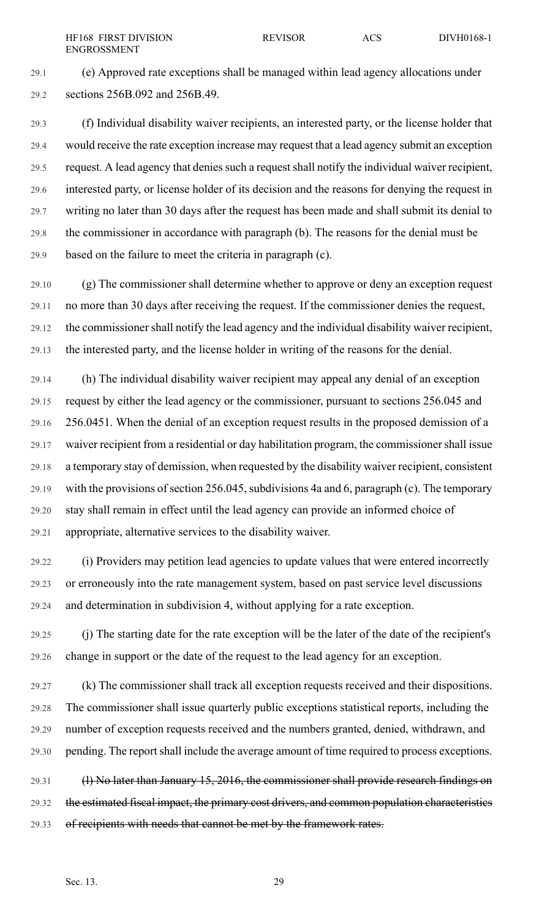29.1 (e) Approved rate exceptions shall be managed within lead agency allocations under 29.2 sections 256B.092 and 256B.49.

29.3 (f) Individual disability waiver recipients, an interested party, or the license holder that 29.4 would receive the rate exception increase may request that a lead agency submit an exception 29.5 request. A lead agency that denies such a request shall notify the individual waiver recipient, 29.6 interested party, or license holder of its decision and the reasons for denying the request in 29.7 writing no later than 30 days after the request has been made and shall submit its denial to 29.8 the commissioner in accordance with paragraph (b). The reasons for the denial must be 29.9 based on the failure to meet the criteria in paragraph (c).

29.10 (g) The commissioner shall determine whether to approve or deny an exception request 29.11 no more than 30 days after receiving the request. If the commissioner denies the request, 29.12 the commissionershall notify the lead agency and the individual disability waiver recipient, 29.13 the interested party, and the license holder in writing of the reasons for the denial.

29.14 (h) The individual disability waiver recipient may appeal any denial of an exception 29.15 request by either the lead agency or the commissioner, pursuant to sections 256.045 and 29.16 256.0451. When the denial of an exception request results in the proposed demission of a 29.17 waiver recipient from a residential or day habilitation program, the commissionershall issue 29.18 a temporary stay of demission, when requested by the disability waiver recipient, consistent 29.19 with the provisions of section 256.045, subdivisions 4a and 6, paragraph (c). The temporary 29.20 stay shall remain in effect until the lead agency can provide an informed choice of 29.21 appropriate, alternative services to the disability waiver.

29.22 (i) Providers may petition lead agencies to update values that were entered incorrectly 29.23 or erroneously into the rate management system, based on past service level discussions 29.24 and determination in subdivision 4, without applying for a rate exception.

29.25 (j) The starting date for the rate exception will be the later of the date of the recipient's 29.26 change in support or the date of the request to the lead agency for an exception.

29.27 (k) The commissioner shall track all exception requests received and their dispositions. 29.28 The commissioner shall issue quarterly public exceptions statistical reports, including the 29.29 number of exception requests received and the numbers granted, denied, withdrawn, and 29.30 pending. The report shall include the average amount of time required to process exceptions.

29.31 (I) No later than January 15, 2016, the commissioner shall provide research findings on 29.32 the estimated fiscal impact, the primary cost drivers, and common population characteristics 29.33 of recipients with needs that cannot be met by the framework rates.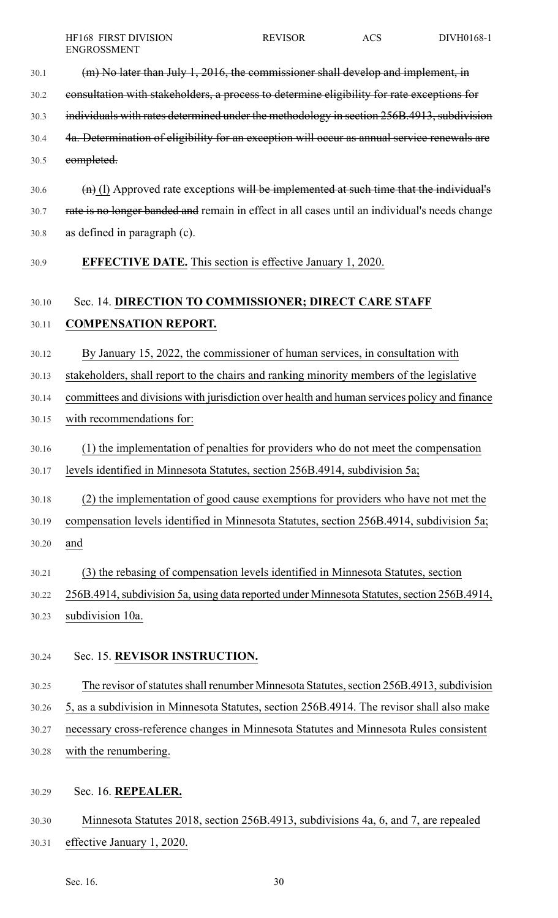| 30.1 | (m) No later than July 1, 2016, the commissioner shall develop and implement, in            |
|------|---------------------------------------------------------------------------------------------|
| 30.2 | consultation with stakeholders, a process to determine eligibility for rate exceptions for  |
| 30.3 | individuals with rates determined under the methodology in section 256B.4913, subdivision   |
| 30.4 | 4a. Determination of eligibility for an exception will occur as annual service renewals are |
| 30.5 | completed.                                                                                  |
| 30.6 | $(n)$ (1) Approved rate exceptions will be implemented at such time that the individual's   |

- 30.7 rate is no longer banded and remain in effect in all cases until an individual's needs change 30.8 as defined in paragraph (c).
- 30.9 **EFFECTIVE DATE.** This section is effective January 1, 2020.

## 30.10 Sec. 14. **DIRECTION TO COMMISSIONER; DIRECT CARE STAFF**

### 30.11 **COMPENSATION REPORT.**

30.12 By January 15, 2022, the commissioner of human services, in consultation with

30.13 stakeholders, shall report to the chairs and ranking minority members of the legislative

- 30.14 committees and divisions with jurisdiction over health and human services policy and finance
- 30.15 with recommendations for:
- 30.16 (1) the implementation of penalties for providers who do not meet the compensation
- 30.17 levels identified in Minnesota Statutes, section 256B.4914, subdivision 5a;
- 30.18 (2) the implementation of good cause exemptions for providers who have not met the
- 30.19 compensation levels identified in Minnesota Statutes, section 256B.4914, subdivision 5a; 30.20 and
- 30.21 (3) the rebasing of compensation levels identified in Minnesota Statutes, section
- 30.22 256B.4914, subdivision 5a, using data reported under Minnesota Statutes, section 256B.4914, 30.23 subdivision 10a.
- 30.24 Sec. 15. **REVISOR INSTRUCTION.**
- 30.25 The revisor of statutes shall renumber Minnesota Statutes, section 256B.4913, subdivision 30.26 5, as a subdivision in Minnesota Statutes, section 256B.4914. The revisor shall also make 30.27 necessary cross-reference changes in Minnesota Statutes and Minnesota Rules consistent 30.28 with the renumbering.
- 30.29 Sec. 16. **REPEALER.**
- 30.30 Minnesota Statutes 2018, section 256B.4913, subdivisions 4a, 6, and 7, are repealed 30.31 effective January 1, 2020.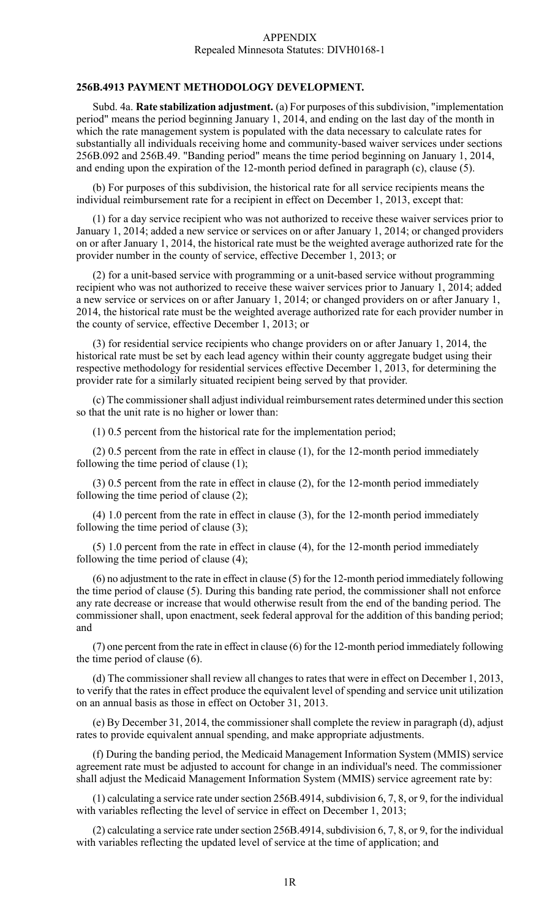#### APPENDIX Repealed Minnesota Statutes: DIVH0168-1

#### **256B.4913 PAYMENT METHODOLOGY DEVELOPMENT.**

Subd. 4a. **Rate stabilization adjustment.** (a) For purposes of thissubdivision, "implementation period" means the period beginning January 1, 2014, and ending on the last day of the month in which the rate management system is populated with the data necessary to calculate rates for substantially all individuals receiving home and community-based waiver services under sections 256B.092 and 256B.49. "Banding period" means the time period beginning on January 1, 2014, and ending upon the expiration of the 12-month period defined in paragraph (c), clause (5).

(b) For purposes of this subdivision, the historical rate for all service recipients means the individual reimbursement rate for a recipient in effect on December 1, 2013, except that:

(1) for a day service recipient who was not authorized to receive these waiver services prior to January 1, 2014; added a new service or services on or after January 1, 2014; or changed providers on or after January 1, 2014, the historical rate must be the weighted average authorized rate for the provider number in the county of service, effective December 1, 2013; or

(2) for a unit-based service with programming or a unit-based service without programming recipient who was not authorized to receive these waiver services prior to January 1, 2014; added a new service or services on or after January 1, 2014; or changed providers on or after January 1, 2014, the historical rate must be the weighted average authorized rate for each provider number in the county of service, effective December 1, 2013; or

(3) for residential service recipients who change providers on or after January 1, 2014, the historical rate must be set by each lead agency within their county aggregate budget using their respective methodology for residential services effective December 1, 2013, for determining the provider rate for a similarly situated recipient being served by that provider.

(c) The commissioner shall adjust individual reimbursement rates determined under this section so that the unit rate is no higher or lower than:

(1) 0.5 percent from the historical rate for the implementation period;

(2) 0.5 percent from the rate in effect in clause (1), for the 12-month period immediately following the time period of clause (1);

(3) 0.5 percent from the rate in effect in clause (2), for the 12-month period immediately following the time period of clause (2);

(4) 1.0 percent from the rate in effect in clause (3), for the 12-month period immediately following the time period of clause (3);

(5) 1.0 percent from the rate in effect in clause (4), for the 12-month period immediately following the time period of clause (4);

(6) no adjustment to the rate in effect in clause (5) for the 12-month period immediately following the time period of clause (5). During this banding rate period, the commissioner shall not enforce any rate decrease or increase that would otherwise result from the end of the banding period. The commissioner shall, upon enactment, seek federal approval for the addition of this banding period; and

(7) one percent from the rate in effect in clause (6) for the 12-month period immediately following the time period of clause (6).

(d) The commissioner shall review all changes to rates that were in effect on December 1, 2013, to verify that the rates in effect produce the equivalent level of spending and service unit utilization on an annual basis as those in effect on October 31, 2013.

(e) By December 31, 2014, the commissioner shall complete the review in paragraph (d), adjust rates to provide equivalent annual spending, and make appropriate adjustments.

(f) During the banding period, the Medicaid Management Information System (MMIS) service agreement rate must be adjusted to account for change in an individual's need. The commissioner shall adjust the Medicaid Management Information System (MMIS) service agreement rate by:

(1) calculating a service rate under section 256B.4914, subdivision  $6, 7, 8$ , or 9, for the individual with variables reflecting the level of service in effect on December 1, 2013;

(2) calculating a service rate under section 256B.4914, subdivision 6, 7, 8, or 9, for the individual with variables reflecting the updated level of service at the time of application; and